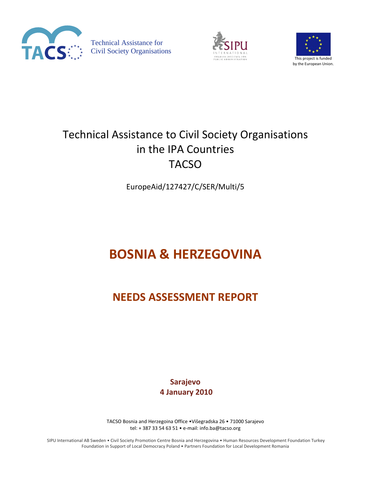

Technical Assistance for Civil Society Organisations





## Technical Assistance to Civil Society Organisations in the IPA Countries **TACSO**

EuropeAid/127427/C/SER/Multi/5

# **BOSNIA & HERZEGOVINA**

## **NEEDS ASSESSMENT REPORT**

**Sarajevo 4 January 2010**

TACSO Bosnia and Herzegoina Office •Višegradska 26 • 71000 Sarajevo tel: + 387 33 54 63 51 • e‐mail: info.ba@tacso.org

SIPU International AB Sweden • Civil Society Promotion Centre Bosnia and Herzegovina • Human Resources Development Foundation Turkey Foundation in Support of Local Democracy Poland • Partners Foundation for Local Development Romania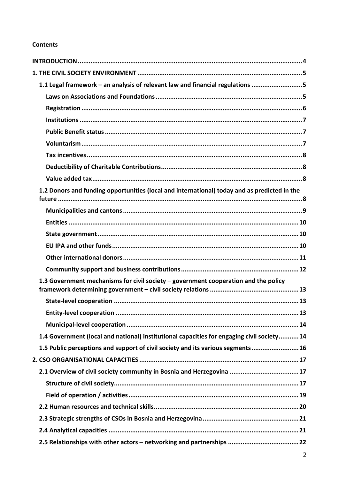## **Contents**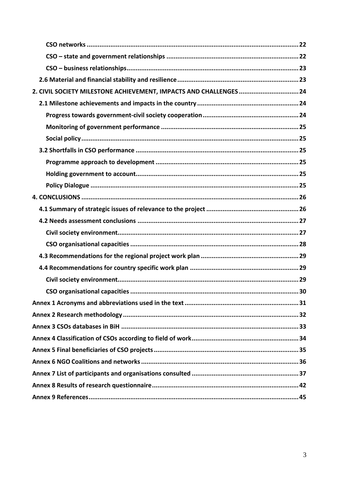| 2. CIVIL SOCIETY MILESTONE ACHIEVEMENT, IMPACTS AND CHALLENGES  24 |
|--------------------------------------------------------------------|
|                                                                    |
|                                                                    |
|                                                                    |
|                                                                    |
|                                                                    |
|                                                                    |
|                                                                    |
|                                                                    |
|                                                                    |
|                                                                    |
|                                                                    |
|                                                                    |
|                                                                    |
|                                                                    |
|                                                                    |
|                                                                    |
|                                                                    |
|                                                                    |
|                                                                    |
|                                                                    |
|                                                                    |
|                                                                    |
|                                                                    |
|                                                                    |
|                                                                    |
|                                                                    |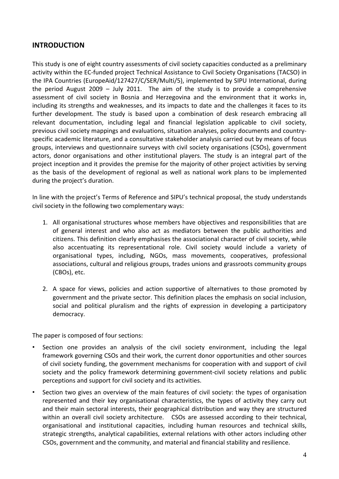## <span id="page-3-0"></span>**INTRODUCTION**

This study is one of eight country assessments of civil society capacities conducted as a preliminary activity within the EC‐funded project Technical Assistance to Civil Society Organisations (TACSO) in the IPA Countries (EuropeAid/127427/C/SER/Multi/5), implemented by SIPU International, during the period August 2009 – July 2011. The aim of the study is to provide a comprehensive assessment of civil society in Bosnia and Herzegovina and the environment that it works in, including its strengths and weaknesses, and its impacts to date and the challenges it faces to its further development. The study is based upon a combination of desk research embracing all relevant documentation, including legal and financial legislation applicable to civil society, previous civil society mappings and evaluations, situation analyses, policy documents and country‐ specific academic literature, and a consultative stakeholder analysis carried out by means of focus groups, interviews and questionnaire surveys with civil society organisations (CSOs), government actors, donor organisations and other institutional players. The study is an integral part of the project inception and it provides the premise for the majority of other project activities by serving as the basis of the development of regional as well as national work plans to be implemented during the project's duration.

In line with the project's Terms of Reference and SIPU's technical proposal, the study understands civil society in the following two complementary ways:

- 1. All organisational structures whose members have objectives and responsibilities that are of general interest and who also act as mediators between the public authorities and citizens. This definition clearly emphasises the associational character of civil society, while also accentuating its representational role. Civil society would include a variety of organisational types, including, NGOs, mass movements, cooperatives, professional associations, cultural and religious groups, trades unions and grassroots community groups (CBOs), etc.
- 2. A space for views, policies and action supportive of alternatives to those promoted by government and the private sector. This definition places the emphasis on social inclusion, social and political pluralism and the rights of expression in developing a participatory democracy.

The paper is composed of four sections:

- Section one provides an analysis of the civil society environment, including the legal framework governing CSOs and their work, the current donor opportunities and other sources of civil society funding, the government mechanisms for cooperation with and support of civil society and the policy framework determining government-civil society relations and public perceptions and support for civil society and its activities.
- Section two gives an overview of the main features of civil society: the types of organisation represented and their key organisational characteristics, the types of activity they carry out and their main sectoral interests, their geographical distribution and way they are structured within an overall civil society architecture. CSOs are assessed according to their technical, organisational and institutional capacities, including human resources and technical skills, strategic strengths, analytical capabilities, external relations with other actors including other CSOs, government and the community, and material and financial stability and resilience.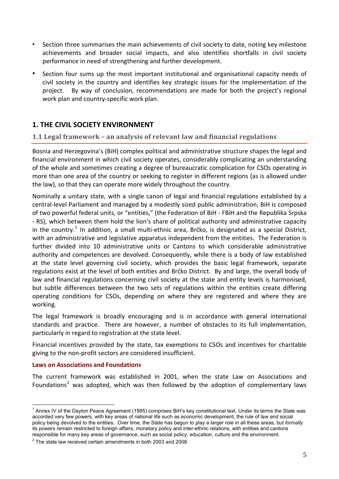- <span id="page-4-0"></span>• Section three summarises the main achievements of civil society to date, noting key milestone achievements and broader social impacts, and also identifies shortfalls in civil society performance in need of strengthening and further development.
- Section four sums up the most important institutional and organisational capacity needs of civil society in the country and identifies key strategic issues for the implementation of the project. By way of conclusion, recommendations are made for both the project's regional work plan and country‐specific work plan.

## **1. THE CIVIL SOCIETY ENVIRONMENT**

## **1.1 Legal framework – an analysis of relevant law and financial regulations**

Bosnia and Herzegovina's (BiH) complex political and administrative structure shapes the legal and financial environment in which civil society operates, considerably complicating an understanding of the whole and sometimes creating a degree of bureaucratic complication for CSOs operating in more than one area of the country or seeking to register in different regions (as is allowed under the law), so that they can operate more widely throughout the country.

Nominally a unitary state, with a single canon of legal and financial regulations established by a central‐level Parliament and managed by a modestly sized public administration, BiH is composed of two powerful federal units, or "entities," (the Federation of BiH ‐ FBiH and the Republika Srpska ‐ RS), which between them hold the lion's share of political authority and administrative capacity in the country.<sup>[1](#page-4-1)</sup> In addition, a small multi-ethnic area, Brčko, is designated as a special District, with an administrative and legislative apparatus independent from the entities. The Federation is further divided into 10 administrative units or Cantons to which considerable administrative authority and competences are devolved. Consequently, while there is a body of law established at the state level governing civil society, which provides the basic legal framework, separate regulations exist at the level of both entities and Brčko District. By and large, the overall body of law and financial regulations concerning civil society at the state and entity levels is harmonised, but subtle differences between the two sets of regulations within the entities create differing operating conditions for CSOs, depending on where they are registered and where they are working.

The legal framework is broadly encouraging and is in accordance with general international standards and practice. There are however, a number of obstacles to its full implementation, particularly in regard to registration at the state level.

Financial incentives provided by the state, tax exemptions to CSOs and incentives for charitable giving to the non‐profit sectors are considered insufficient.

#### **Laws on Associations and Foundations**

 $\overline{a}$ 

The current framework was established in 2001, when the state Law on Associations and Foundations<sup>[2](#page-4-2)</sup> was adopted, which was then followed by the adoption of complementary laws

<span id="page-4-1"></span><sup>&</sup>lt;sup>1</sup> Annex IV of the Dayton Peace Agreement (1995) comprises BiH's key constitutional text. Under its terms the State was accorded very few powers, with key areas of national life such as economic development, the rule of law and social policy being devolved to the entities. Over time, the State has begun to play a larger role in all these areas, but *formally* its powers remain restricted to foreign affairs, monetary policy and inter-ethnic relations, with entities and cantons responsible for many key areas of governance, such as social policy, education, culture and the environment. 2

<span id="page-4-2"></span> $2$  The state law received certain amendments in both 2003 and 2008.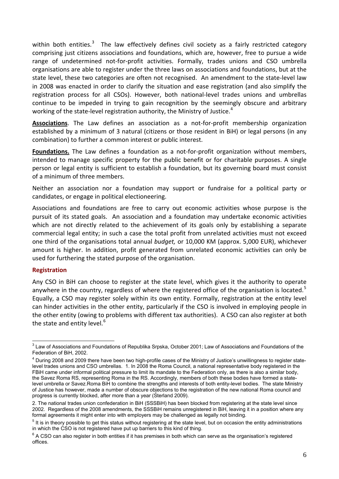<span id="page-5-0"></span>within both entities.<sup>[3](#page-5-0)</sup> The law effectively defines civil society as a fairly restricted category comprising just citizens associations and foundations, which are, however, free to pursue a wide range of undetermined not-for-profit activities. Formally, trades unions and CSO umbrella organisations are able to register under the three laws on associations and foundations, but at the state level, these two categories are often not recognised. An amendment to the state‐level law in 2008 was enacted in order to clarify the situation and ease registration (and also simplify the registration process for all CSOs). However, both national‐level trades unions and umbrellas continue to be impeded in trying to gain recognition by the seemingly obscure and arbitrary working of the state-level registration authority, the Ministry of Justice.<sup>[4](#page-5-0)</sup>

**Associations**. The Law defines an association as a not‐for‐profit membership organization established by a minimum of 3 natural (citizens or those resident in BiH) or legal persons (in any combination) to further a common interest or public interest.

**Foundations.** The Law defines a foundation as a not-for-profit organization without members, intended to manage specific property for the public benefit or for charitable purposes. A single person or legal entity is sufficient to establish a foundation, but its governing board must consist of a minimum of three members.

Neither an association nor a foundation may support or fundraise for a political party or candidates, or engage in political electioneering.

Associations and foundations are free to carry out economic activities whose purpose is the pursuit of its stated goals. An association and a foundation may undertake economic activities which are not directly related to the achievement of its goals only by establishing a separate commercial legal entity; in such a case the total profit from unrelated activities must not exceed one third of the organisations total annual *budget,* or 10,000 KM (approx. 5,000 EUR), whichever amount is higher. In addition, profit generated from unrelated economic activities can only be used for furthering the stated purpose of the organisation.

#### **Registration**

Any CSO in BiH can choose to register at the state level, which gives it the authority to operate anywhere in the country, regardless of where the registered office of the organisation is located.<sup>[5](#page-5-0)</sup> Equally, a CSO may register solely within its own entity. Formally, registration at the entity level can hinder activities in the other entity, particularly if the CSO is involved in employing people in the other entity (owing to problems with different tax authorities). A CSO can also register at both the state and entity level.<sup>[6](#page-5-0)</sup>

 3 Law of Associations and Foundations of Republika Srpska, October 2001; Law of Associations and Foundations of the Federation of BiH, 2002.

<sup>&</sup>lt;sup>4</sup> During 2008 and 2009 there have been two high-profile cases of the Ministry of Justice's unwillingness to register statelevel trades unions and CSO umbrellas. 1. In 2008 the Roma Council, a national representative body registered in the FBiH came under informal political pressure to limit its mandate to the Federation only, as there is also a similar body, the Savez Roma RS, representing Roma in the RS. Accordingly, members of both these bodies have formed a statelevel umbrella or Savez.Roma BiH to combine the strengths and interests of both entity-level bodies. The state Ministry of Justice has however, made a number of obscure objections to the registration of the new national Roma council and progress is currently blocked, after more than a year (Sterland 2009).

<sup>2.</sup> The national trades union confederation in BiH (SSSBiH) has been blocked from registering at the state level since 2002. Regardless of the 2008 amendments, the SSSBiH remains unregistered in BiH, leaving it in a position where any formal agreements it might enter into with employers may be challenged as legally not binding.

 $<sup>5</sup>$  It is in theory possible to get this status without registering at the state level, but on occasion the entity administrations</sup> in which the CSO is not registered have put up barriers to this kind of thing. 6

 $6$  A CSO can also register in both entities if it has premises in both which can serve as the organisation's registered offices.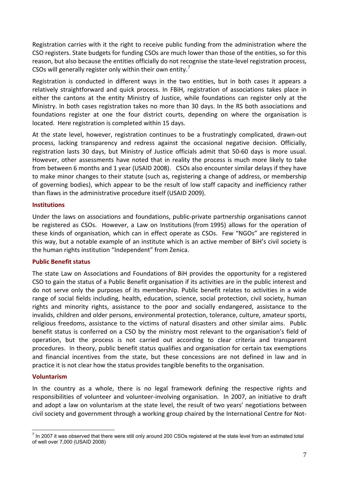<span id="page-6-0"></span>Registration carries with it the right to receive public funding from the administration where the CSO registers. State budgets for funding CSOs are much lower than those of the entities, so for this reason, but also because the entities officially do not recognise the state‐level registration process, CSOs will generally register only within their own entity.<sup>[7](#page-6-0)</sup>

Registration is conducted in different ways in the two entities, but in both cases it appears a relatively straightforward and quick process. In FBiH, registration of associations takes place in either the cantons at the entity Ministry of Justice, while foundations can register only at the Ministry. In both cases registration takes no more than 30 days. In the RS both associations and foundations register at one the four district courts, depending on where the organisation is located. Here registration is completed within 15 days.

At the state level, however, registration continues to be a frustratingly complicated, drawn‐out process, lacking transparency and redress against the occasional negative decision. Officially, registration lasts 30 days, but Ministry of Justice officials admit that 50‐60 days is more usual. However, other assessments have noted that in reality the process is much more likely to take from between 6 months and 1 year (USAID 2008). CSOs also encounter similar delays if they have to make minor changes to their statute (such as, registering a change of address, or membership of governing bodies), which appear to be the result of low staff capacity and inefficiency rather than flaws in the administrative procedure itself (USAID 2009).

### **Institutions**

Under the laws on associations and foundations, public‐private partnership organisations cannot be registered as CSOs. However, a Law on Institutions (from 1995) allows for the operation of these kinds of organisation, which can in effect operate as CSOs. Few "NGOs" are registered in this way, but a notable example of an institute which is an active member of BiH's civil society is the human rights institution "Independent" from Zenica.

#### **Public Benefit status**

The state Law on Associations and Foundations of BiH provides the opportunity for a registered CSO to gain the status of a Public Benefit organisation if its activities are in the public interest and do not serve only the purposes of its membership. Public benefit relates to activities in a wide range of social fields including, health, education, science, social protection, civil society, human rights and minority rights, assistance to the poor and socially endangered, assistance to the invalids, children and older persons, environmental protection, tolerance, culture, amateur sports, religious freedoms, assistance to the victims of natural disasters and other similar aims. Public benefit status is conferred on a CSO by the ministry most relevant to the organisation's field of operation, but the process is not carried out according to clear criteria and transparent procedures. In theory, public benefit status qualifies and organisation for certain tax exemptions and financial incentives from the state, but these concessions are not defined in law and in practice it is not clear how the status provides tangible benefits to the organisation.

#### **Voluntarism**

In the country as a whole, there is no legal framework defining the respective rights and responsibilities of volunteer and volunteer‐involving organisation. In 2007, an initiative to draft and adopt a law on voluntarism at the state level, the result of two years' negotiations between civil society and government through a working group chaired by the International Centre for Not‐

The 2007 it was observed that there were still only around 200 CSOs registered at the state level from an estimated total of well over 7,000 (USAID 2008)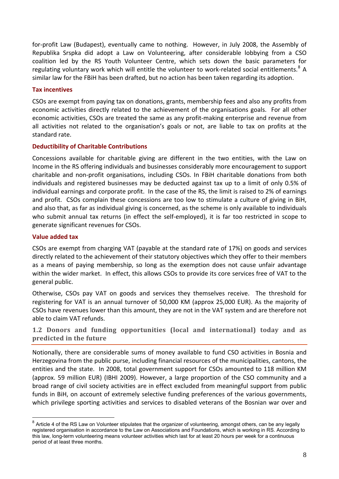<span id="page-7-0"></span>for-profit Law (Budapest), eventually came to nothing. However, in July 2008, the Assembly of Republika Srspka did adopt a Law on Volunteering, after considerable lobbying from a CSO coalition led by the RS Youth Volunteer Centre, which sets down the basic parameters for regulating voluntary work which will entitle the volunteer to work-related social entitlements.<sup>[8](#page-7-0)</sup> A similar law for the FBiH has been drafted, but no action has been taken regarding its adoption.

#### **Tax incentives**

CSOs are exempt from paying tax on donations, grants, membership fees and also any profits from economic activities directly related to the achievement of the organisations goals. For all other economic activities, CSOs are treated the same as any profit‐making enterprise and revenue from all activities not related to the organisation's goals or not, are liable to tax on profits at the standard rate.

## **Deductibility of Charitable Contributions**

Concessions available for charitable giving are different in the two entities, with the Law on Income in the RS offering individuals and businesses considerably more encouragement to support charitable and non‐profit organisations, including CSOs. In FBiH charitable donations from both individuals and registered businesses may be deducted against tax up to a limit of only 0.5% of individual earnings and corporate profit. In the case of the RS, the limit is raised to 2% of earnings and profit. CSOs complain these concessions are too low to stimulate a culture of giving in BiH, and also that, as far as individual giving is concerned, as the scheme is only available to individuals who submit annual tax returns (in effect the self-employed), it is far too restricted in scope to generate significant revenues for CSOs.

### **Value added tax**

 $\overline{a}$ 

CSOs are exempt from charging VAT (payable at the standard rate of 17%) on goods and services directly related to the achievement of their statutory objectives which they offer to their members as a means of paying membership, so long as the exemption does not cause unfair advantage within the wider market. In effect, this allows CSOs to provide its core services free of VAT to the general public.

Otherwise, CSOs pay VAT on goods and services they themselves receive. The threshold for registering for VAT is an annual turnover of 50,000 KM (approx 25,000 EUR). As the majority of CSOs have revenues lower than this amount, they are not in the VAT system and are therefore not able to claim VAT refunds.

**1.2 Donors and funding opportunities (local and international) today and as predicted in the future**

Notionally, there are considerable sums of money available to fund CSO activities in Bosnia and Herzegovina from the public purse, including financial resources of the municipalities, cantons, the entities and the state. In 2008, total government support for CSOs amounted to 118 million KM (approx. 59 million EUR) (IBHI 2009). However, a large proportion of the CSO community and a broad range of civil society activities are in effect excluded from meaningful support from public funds in BiH, on account of extremely selective funding preferences of the various governments, which privilege sporting activities and services to disabled veterans of the Bosnian war over and

 $8$  Article 4 of the RS Law on Volunteer stipulates that the organizer of volunteering, amongst others, can be any legally registered organisation in accordance to the Law on Associations and Foundations, which is working in RS. According to this law, long-term volunteering means volunteer activities which last for at least 20 hours per week for a continuous period of at least three months.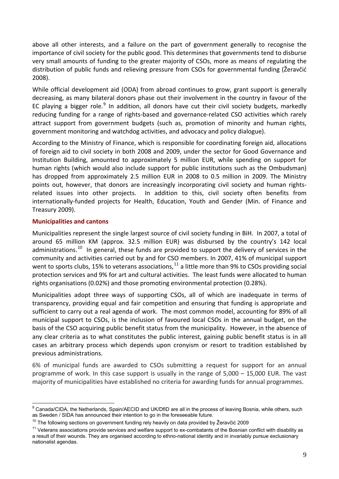<span id="page-8-0"></span>above all other interests, and a failure on the part of government generally to recognise the importance of civil society for the public good. This determines that governments tend to disburse very small amounts of funding to the greater majority of CSOs, more as means of regulating the distribution of public funds and relieving pressure from CSOs for governmental funding (Žeravčić 2008).

While official development aid (ODA) from abroad continues to grow, grant support is generally decreasing, as many bilateral donors phase out their involvement in the country in favour of the EC playing a bigger role.<sup>[9](#page-8-0)</sup> In addition, all donors have cut their civil society budgets, markedly reducing funding for a range of rights‐based and governance‐related CSO activities which rarely attract support from government budgets (such as, promotion of minority and human rights, government monitoring and watchdog activities, and advocacy and policy dialogue).

According to the Ministry of Finance, which is responsible for coordinating foreign aid, allocations of foreign aid to civil society in both 2008 and 2009, under the sector for Good Governance and Institution Building, amounted to approximately 5 million EUR, while spending on support for human rights (which would also include support for public institutions such as the Ombudsman) has dropped from approximately 2.5 million EUR in 2008 to 0.5 million in 2009. The Ministry points out, however, that donors are increasingly incorporating civil society and human rightsrelated issues into other projects. In addition to this, civil society often benefits from internationally‐funded projects for Health, Education, Youth and Gender (Min. of Finance and Treasury 2009).

## **Municipalities and cantons**

Municipalities represent the single largest source of civil society funding in BiH. In 2007, a total of around 65 million KM (approx. 32.5 million EUR) was disbursed by the country's 142 local administrations.<sup>[10](#page-8-0)</sup> In general, these funds are provided to support the delivery of services in the community and activities carried out by and for CSO members. In 2007, 41% of municipal support went to sports clubs, 15% to veterans associations,  $^{11}$  $^{11}$  $^{11}$  a little more than 9% to CSOs providing social protection services and 9% for art and cultural activities. The least funds were allocated to human rights organisations (0.02%) and those promoting environmental protection (0.28%).

Municipalities adopt three ways of supporting CSOs, all of which are inadequate in terms of transparency, providing equal and fair competition and ensuring that funding is appropriate and sufficient to carry out a real agenda of work. The most common model, accounting for 89% of all municipal support to CSOs, is the inclusion of favoured local CSOs in the annual budget, on the basis of the CSO acquiring public benefit status from the municipality. However, in the absence of any clear criteria as to what constitutes the public interest, gaining public benefit status is in all cases an arbitrary process which depends upon cronyism or resort to tradition established by previous administrations.

6% of municipal funds are awarded to CSOs submitting a request for support for an annual programme of work. In this case support is usually in the range of 5,000 – 15,000 EUR. The vast majority of municipalities have established no criteria for awarding funds for annual programmes.

 $\overline{a}$ <sup>9</sup> Canada/CIDA, the Netherlands, Spain/AECID and UK/DfID are all in the process of leaving Bosnia, while others, such as Sweden / SIDA has announced their intention to go in the foreseeable future.<br><sup>10</sup> The following sections on government funding rely heavily on data provided by Žeravčić 2009<br><sup>11</sup> Veterans associations provide services a

a result of their wounds. They are organised according to ethno-national identity and in invariably pursue exclusionary nationalist agendas.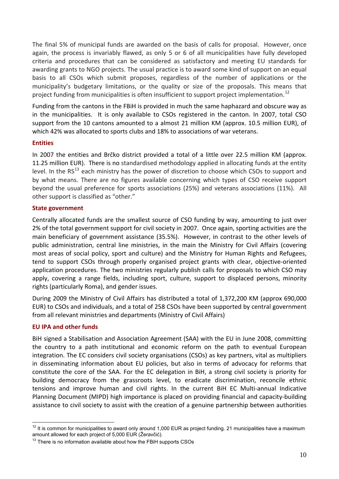<span id="page-9-0"></span>The final 5% of municipal funds are awarded on the basis of calls for proposal. However, once again, the process is invariably flawed, as only 5 or 6 of all municipalities have fully developed criteria and procedures that can be considered as satisfactory and meeting EU standards for awarding grants to NGO projects. The usual practice is to award some kind of support on an equal basis to all CSOs which submit proposes, regardless of the number of applications or the municipality's budgetary limitations, or the quality or size of the proposals. This means that project funding from municipalities is often insufficient to support project implementation.<sup>[12](#page-9-0)</sup>

Funding from the cantons in the FBiH is provided in much the same haphazard and obscure way as in the municipalities. It is only available to CSOs registered in the canton. In 2007, total CSO support from the 10 cantons amounted to a almost 21 million KM (approx. 10.5 million EUR), of which 42% was allocated to sports clubs and 18% to associations of war veterans.

## **Entities**

In 2007 the entities and Brčko district provided a total of a little over 22.5 million KM (approx. 11.25 million EUR). There is no standardised methodology applied in allocating funds at the entity level. In the  $RS^{13}$  $RS^{13}$  $RS^{13}$  each ministry has the power of discretion to choose which CSOs to support and by what means. There are no figures available concerning which types of CSO receive support beyond the usual preference for sports associations (25%) and veterans associations (11%). All other support is classified as "other."

#### **State government**

Centrally allocated funds are the smallest source of CSO funding by way, amounting to just over 2% of the total government support for civil society in 2007. Once again, sporting activities are the main beneficiary of government assistance (35.5%). However, in contrast to the other levels of public administration, central line ministries, in the main the Ministry for Civil Affairs (covering most areas of social policy, sport and culture) and the Ministry for Human Rights and Refugees, tend to support CSOs through properly organised project grants with clear, objective‐oriented application procedures. The two ministries regularly publish calls for proposals to which CSO may apply, covering a range fields, including sport, culture, support to displaced persons, minority rights (particularly Roma), and gender issues.

During 2009 the Ministry of Civil Affairs has distributed a total of 1,372,200 KM (approx 690,000 EUR) to CSOs and individuals, and a total of 258 CSOs have been supported by central government from all relevant ministries and departments (Ministry of Civil Affairs)

## **EU IPA and other funds**

BiH signed a Stabilisation and Association Agreement (SAA) with the EU in June 2008, committing the country to a path institutional and economic reform on the path to eventual European integration. The EC considers civil society organisations (CSOs) as key partners, vital as multipliers in disseminating information about EU policies, but also in terms of advocacy for reforms that constitute the core of the SAA. For the EC delegation in BiH, a strong civil society is priority for building democracy from the grassroots level, to eradicate discrimination, reconcile ethnic tensions and improve human and civil rights. In the current BiH EC Multi-annual Indicative Planning Document (MIPD) high importance is placed on providing financial and capacity‐building assistance to civil society to assist with the creation of a genuine partnership between authorities

 $\overline{a}$  $12$  It is common for municipalities to award only around 1,000 EUR as project funding. 21 municipalities have a maximum amount allowed for each project of 5,000 EUR (Žeravčić).<br><sup>13</sup> There is no information available about how the FBiH supports CSOs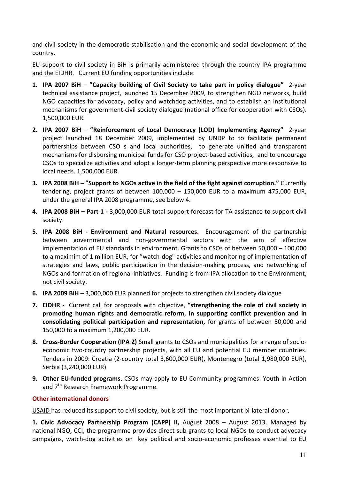<span id="page-10-0"></span>and civil society in the democratic stabilisation and the economic and social development of the country.

EU support to civil society in BiH is primarily administered through the country IPA programme and the EIDHR. Current EU funding opportunities include:

- **1. IPA 2007 BiH – "Capacity building of Civil Society to take part in policy dialogue"** 2‐year technical assistance project, launched 15 December 2009, to strengthen NGO networks, build NGO capacities for advocacy, policy and watchdog activities, and to establish an institutional mechanisms for government‐civil society dialogue (national office for cooperation with CSOs). 1,500,000 EUR.
- **2. IPA 2007 BiH – "Reinforcement of Local Democracy (LOD) Implementing Agency"**  2‐year project launched 18 December 2009, implemented by UNDP to to facilitate permanent partnerships between CSO s and local authorities, to generate unified and transparent mechanisms for disbursing municipal funds for CSO project-based activities, and to encourage CSOs to specialize activities and adopt a longer‐term planning perspective more responsive to local needs. 1,500,000 EUR.
- **3. IPA 2008 BiH –** "**Support to NGOs active in the field of the fight against corruption."** Currently tendering, project grants of between 100,000 – 150,000 EUR to a maximum 475,000 EUR, under the general IPA 2008 programme, see below 4.
- **4. IPA 2008 BiH – Part 1 ‐** 3,000,000 EUR total support forecast for TA assistance to support civil society.
- **5. IPA 2008 BiH ‐ Environment and Natural resources.** Encouragement of the partnership between governmental and non‐governmental sectors with the aim of effective implementation of EU standards in environment. Grants to CSOs of between 50,000 – 100,000 to a maximim of 1 million EUR, for "watch‐dog" activities and monitoring of implementation of strategies and laws, public participation in the decision-making process, and networking of NGOs and formation of regional initiatives. Funding is from IPA allocation to the Environment, not civil society.
- **6. IPA 2009 BiH** 3,000,000 EUR planned for projects to strengthen civil society dialogue
- **7. EIDHR ‐** Current call for proposals with objective, **"strengthening the role of civil society in promoting human rights and democratic reform, in supporting conflict prevention and in consolidating political participation and representation,** for grants of between 50,000 and 150,000 to a maximum 1,200,000 EUR.
- **8. Cross‐Border Cooperation (IPA 2)** Small grants to CSOs and municipalities for a range of socio‐ economic two-country partnership projects, with all EU and potential EU member countries. Tenders in 2009: Croatia (2‐country total 3,600,000 EUR), Montenegro (total 1,980,000 EUR), Serbia (3,240,000 EUR)
- **9. Other EU‐funded programs.** CSOs may apply to EU Community programmes: Youth in Action and 7<sup>th</sup> Research Framework Programme.

## **Other international donors**

USAID has reduced its support to civil society, but is still the most important bi‐lateral donor.

**1. Civic Advocacy Partnership Program (CAPP) II,** August 2008 – August 2013. Managed by national NGO, CCI, the programme provides direct sub‐grants to local NGOs to conduct advocacy campaigns, watch‐dog activities on key political and socio‐economic professes essential to EU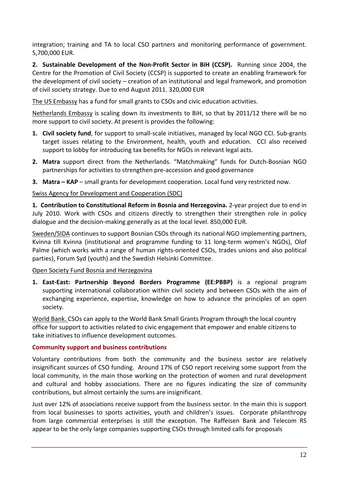<span id="page-11-0"></span>integration; training and TA to local CSO partners and monitoring performance of government. 5,700,000 EUR.

**2. Sustainable Development of the Non‐Profit Sector in BiH (CCSP).** Running since 2004, the Centre for the Promotion of Civil Society (CCSP) is supported to create an enabling framework for the development of civil society – creation of an institutional and legal framework, and promotion of civil society strategy. Due to end August 2011. 320,000 EUR

The US Embassy has a fund for small grants to CSOs and civic education activities.

Netherlands Embassy is scaling down its investments to BiH, so that by 2011/12 there will be no more support to civil society. At present is provides the following:

- **1. Civil society fund**, for support to small‐scale initiatives, managed by local NGO CCI. Sub‐grants target issues relating to the Environment, health, youth and education. CCI also received support to lobby for introducing tax benefits for NGOs in relevant legal acts.
- **2. Matra** support direct from the Netherlands. "Matchmaking" funds for Dutch‐Bosnian NGO partnerships for activities to strengthen pre‐accession and good governance
- **3. Matra – KAP** small grants for development cooperation. Local fund very restricted now.

## Swiss Agency for Development and Cooperation (SDC)

**1. Contribution to Constitutional Reform in Bosnia and Herzegovina.** 2‐year project due to end in July 2010. Work with CSOs and citizens directly to strengthen their strengthen role in policy dialogue and the decision‐making generally as at the local level. 850,000 EUR.

Sweden/SIDA continues to support Bosnian CSOs through its national NGO implementing partners, Kvinna till Kvinna (institutional and programme funding to 11 long‐term women's NGOs), Olof Palme (which works with a range of human rights‐oriented CSOs, trades unions and also political parties), Forum Syd (youth) and the Swedish Helsinki Committee.

## Open Society Fund Bosnia and Herzegovina

**1. East‐East: Partnership Beyond Borders Programme (EE:PBBP)** is a regional program supporting international collaboration within civil society and between CSOs with the aim of exchanging experience, expertise, knowledge on how to advance the principles of an open society.

World Bank. CSOs can apply to the World Bank Small Grants Program through the local country office for support to activities related to civic engagement that empower and enable citizens to take initiatives to influence development outcomes.

## **Community support and business contributions**

Voluntary contributions from both the community and the business sector are relatively insignificant sources of CSO funding. Around 17% of CSO report receiving some support from the local community, in the main those working on the protection of women and rural development and cultural and hobby associations. There are no figures indicating the size of community contributions, but almost certainly the sums are insignificant.

Just over 12% of associations receive support from the business sector. In the main this is support from local businesses to sports activities, youth and children's issues. Corporate philanthropy from large commercial enterprises is still the exception. The Raffeisen Bank and Telecom RS appear to be the only large companies supporting CSOs through limited calls for proposals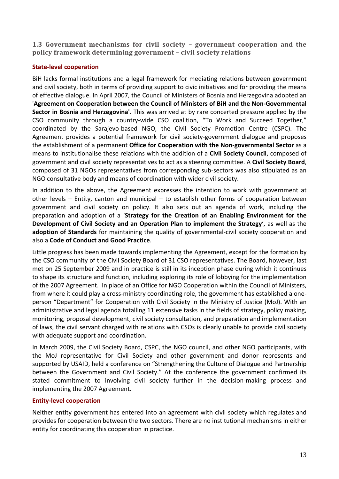<span id="page-12-0"></span>**1.3 Government mechanisms for civil society – government cooperation and the policy framework determining government – civil society relations** 

## **State‐level cooperation**

BiH lacks formal institutions and a legal framework for mediating relations between government and civil society, both in terms of providing support to civic initiatives and for providing the means of effective dialogue. In April 2007, the Council of Ministers of Bosnia and Herzegovina adopted an '**Agreement on Cooperation between the Council of Ministers of BiH and the Non‐Governmental Sector in Bosnia and Herzegovina'**. This was arrived at by rare concerted pressure applied by the CSO community through a country‐wide CSO coalition, "To Work and Succeed Together," coordinated by the Sarajevo‐based NGO, the Civil Society Promotion Centre (CSPC). The Agreement provides a potential framework for civil society‐government dialogue and proposes the establishment of a permanent **Office for Cooperation with the Non‐governmental Sector** as a means to institutionalise these relations with the addition of a **Civil Society Council**, composed of government and civil society representatives to act as a steering committee. A **Civil Society Board**, composed of 31 NGOs representatives from corresponding sub‐sectors was also stipulated as an NGO consultative body and means of coordination with wider civil society.

In addition to the above, the Agreement expresses the intention to work with government at other levels – Entity, canton and municipal – to establish other forms of cooperation between government and civil society on policy. It also sets out an agenda of work, including the preparation and adoption of a '**Strategy for the Creation of an Enabling Environment for the Development of Civil Society and an Operation Plan to implement the Strategy**', as well as the **adoption of Standards** for maintaining the quality of governmental‐civil society cooperation and also a **Code of Conduct and Good Practice**.

Little progress has been made towards implementing the Agreement, except for the formation by the CSO community of the Civil Society Board of 31 CSO representatives. The Board, however, last met on 25 September 2009 and in practice is still in its inception phase during which it continues to shape its structure and function, including exploring its role of lobbying for the implementation of the 2007 Agreement. In place of an Office for NGO Cooperation within the Council of Ministers, from where it could play a cross-ministry coordinating role, the government has established a oneperson "Department" for Cooperation with Civil Society in the Ministry of Justice (MoJ). With an administrative and legal agenda totalling 11 extensive tasks in the fields of strategy, policy making, monitoring, proposal development, civil society consultation, and preparation and implementation of laws, the civil servant charged with relations with CSOs is clearly unable to provide civil society with adequate support and coordination.

In March 2009, the Civil Society Board, CSPC, the NGO council, and other NGO participants, with the MoJ representative for Civil Society and other government and donor represents and supported by USAID, held a conference on "Strengthening the Culture of Dialogue and Partnership between the Government and Civil Society." At the conference the government confirmed its stated commitment to involving civil society further in the decision-making process and implementing the 2007 Agreement.

## **Entity‐level cooperation**

Neither entity government has entered into an agreement with civil society which regulates and provides for cooperation between the two sectors. There are no institutional mechanisms in either entity for coordinating this cooperation in practice.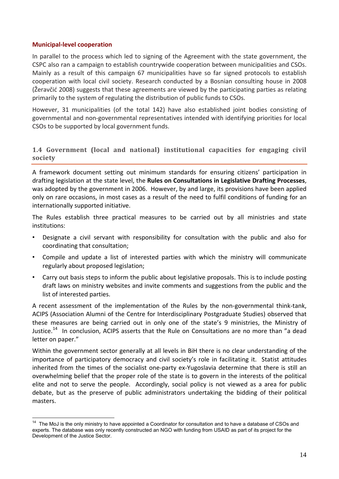#### <span id="page-13-0"></span>**Municipal‐level cooperation**

 $\overline{a}$ 

In parallel to the process which led to signing of the Agreement with the state government, the CSPC also ran a campaign to establish countrywide cooperation between municipalities and CSOs. Mainly as a result of this campaign 67 municipalities have so far signed protocols to establish cooperation with local civil society. Research conducted by a Bosnian consulting house in 2008 (Žeravčić 2008) suggests that these agreements are viewed by the participating parties as relating primarily to the system of regulating the distribution of public funds to CSOs.

However, 31 municipalities (of the total 142) have also established joint bodies consisting of governmental and non‐governmental representatives intended with identifying priorities for local CSOs to be supported by local government funds.

### **1.4 Government (local and national) institutional capacities for engaging civil society**

A framework document setting out minimum standards for ensuring citizens' participation in drafting legislation at the state level, the **Rules on Consultations in Legislative Drafting Processes**, was adopted by the government in 2006. However, by and large, its provisions have been applied only on rare occasions, in most cases as a result of the need to fulfil conditions of funding for an internationally supported initiative.

The Rules establish three practical measures to be carried out by all ministries and state institutions:

- Designate a civil servant with responsibility for consultation with the public and also for coordinating that consultation;
- Compile and update a list of interested parties with which the ministry will communicate regularly about proposed legislation;
- Carry out basis steps to inform the public about legislative proposals. This is to include posting draft laws on ministry websites and invite comments and suggestions from the public and the list of interested parties.

A recent assessment of the implementation of the Rules by the non‐governmental think‐tank, ACIPS (Association Alumni of the Centre for Interdisciplinary Postgraduate Studies) observed that these measures are being carried out in only one of the state's 9 ministries, the Ministry of Justice.<sup>[14](#page-13-0)</sup> In conclusion, ACIPS asserts that the Rule on Consultations are no more than "a dead letter on paper."

Within the government sector generally at all levels in BiH there is no clear understanding of the importance of participatory democracy and civil society's role in facilitating it. Statist attitudes inherited from the times of the socialist one‐party ex‐Yugoslavia determine that there is still an overwhelming belief that the proper role of the state is to govern in the interests of the political elite and not to serve the people. Accordingly, social policy is not viewed as a area for public debate, but as the preserve of public administrators undertaking the bidding of their political masters.

<sup>&</sup>lt;sup>14</sup> The MoJ is the only ministry to have appointed a Coordinator for consultation and to have a database of CSOs and experts. The database was only recently constructed an NGO with funding from USAID as part of its project for the Development of the Justice Sector.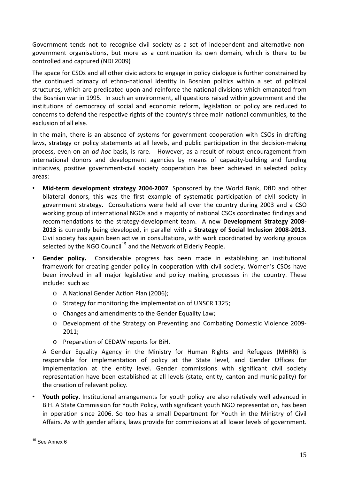<span id="page-14-0"></span>Government tends not to recognise civil society as a set of independent and alternative non‐ government organisations, but more as a continuation its own domain, which is there to be controlled and captured (NDI 2009)

The space for CSOs and all other civic actors to engage in policy dialogue is further constrained by the continued primacy of ethno‐national identity in Bosnian politics within a set of political structures, which are predicated upon and reinforce the national divisions which emanated from the Bosnian war in 1995. In such an environment, all questions raised within government and the institutions of democracy of social and economic reform, legislation or policy are reduced to concerns to defend the respective rights of the country's three main national communities, to the exclusion of all else.

In the main, there is an absence of systems for government cooperation with CSOs in drafting laws, strategy or policy statements at all levels, and public participation in the decision‐making process, even on an *ad hoc* basis, is rare. However, as a result of robust encouragement from international donors and development agencies by means of capacity-building and funding initiatives, positive government-civil society cooperation has been achieved in selected policy areas:

- **Mid‐term development strategy 2004‐2007**. Sponsored by the World Bank, DfID and other bilateral donors, this was the first example of systematic participation of civil society in government strategy. Consultations were held all over the country during 2003 and a CSO working group of international NGOs and a majority of national CSOs coordinated findings and recommendations to the strategy‐development team. A new **Development Strategy 2008‐ 2013** is currently being developed, in parallel with a **Strategy of Social Inclusion 2008‐2013.** Civil society has again been active in consultations, with work coordinated by working groups selected by the NGO Council<sup>[15](#page-14-0)</sup> and the Network of Elderly People.
- **Gender policy.**  Considerable progress has been made in establishing an institutional framework for creating gender policy in cooperation with civil society. Women's CSOs have been involved in all major legislative and policy making processes in the country. These include: such as:
	- o A National Gender Action Plan (2006);
	- o Strategy for monitoring the implementation of UNSCR 1325;
	- o Changes and amendments to the Gender Equality Law;
	- o Development of the Strategy on Preventing and Combating Domestic Violence 2009‐ 2011;
	- o Preparation of CEDAW reports for BiH.

A Gender Equality Agency in the Ministry for Human Rights and Refugees (MHRR) is responsible for implementation of policy at the State level, and Gender Offices for implementation at the entity level. Gender commissions with significant civil society representation have been established at all levels (state, entity, canton and municipality) for the creation of relevant policy.

• **Youth policy**. Institutional arrangements for youth policy are also relatively well advanced in BiH. A State Commission for Youth Policy, with significant youth NGO representation, has been in operation since 2006. So too has a small Department for Youth in the Ministry of Civil Affairs. As with gender affairs, laws provide for commissions at all lower levels of government.

 $\overline{a}$ 

<sup>&</sup>lt;sup>15</sup> See Annex 6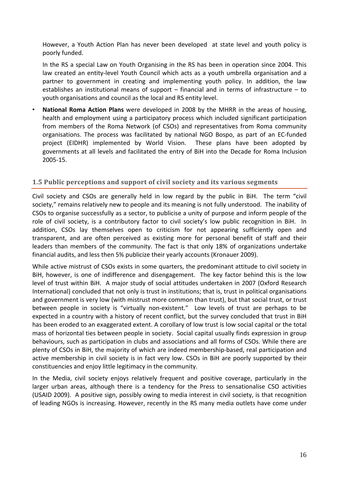<span id="page-15-0"></span>However, a Youth Action Plan has never been developed at state level and youth policy is poorly funded.

In the RS a special Law on Youth Organising in the RS has been in operation since 2004. This law created an entity‐level Youth Council which acts as a youth umbrella organisation and a partner to government in creating and implementing youth policy. In addition, the law establishes an institutional means of support – financial and in terms of infrastructure – to youth organisations and council as the local and RS entity level.

• **National Roma Action Plans** were developed in 2008 by the MHRR in the areas of housing, health and employment using a participatory process which included significant participation from members of the Roma Network (of CSOs) and representatives from Roma community organisations. The process was facilitated by national NGO Bospo, as part of an EC‐funded project (EIDHR) implemented by World Vision. These plans have been adopted by governments at all levels and facilitated the entry of BiH into the Decade for Roma Inclusion 2005‐15.

## **1.5 Public perceptions and support of civil society and its various segments**

Civil society and CSOs are generally held in low regard by the public in BiH. The term "civil society," remains relatively new to people and its meaning is not fully understood. The inability of CSOs to organise successfully as a sector, to publicise a unity of purpose and inform people of the role of civil society, is a contributory factor to civil society's low public recognition in BiH. In addition, CSOs lay themselves open to criticism for not appearing sufficiently open and transparent, and are often perceived as existing more for personal benefit of staff and their leaders than members of the community. The fact is that only 18% of organizations undertake financial audits, and less then 5% publicize their yearly accounts (Kronauer 2009).

While active mistrust of CSOs exists in some quarters, the predominant attitude to civil society in BiH, however, is one of indifference and disengagement. The key factor behind this is the low level of trust within BiH. A major study of social attitudes undertaken in 2007 (Oxford Research International) concluded that not only is trust in institutions; that is, trust in political organisations and government is very low (with mistrust more common than trust), but that social trust, or trust between people in society is "virtually non-existent." Low levels of trust are perhaps to be expected in a country with a history of recent conflict, but the survey concluded that trust in BiH has been eroded to an exaggerated extent. A corollary of low trust is low social capital or the total mass of horizontal ties between people in society. Social capital usually finds expression in group behaviours, such as participation in clubs and associations and all forms of CSOs. While there are plenty of CSOs in BiH, the majority of which are indeed membership‐based, real participation and active membership in civil society is in fact very low. CSOs in BiH are poorly supported by their constituencies and enjoy little legitimacy in the community.

In the Media, civil society enjoys relatively frequent and positive coverage, particularly in the larger urban areas, although there is a tendency for the Press to sensationalise CSO activities (USAID 2009). A positive sign, possibly owing to media interest in civil society, is that recognition of leading NGOs is increasing. However, recently in the RS many media outlets have come under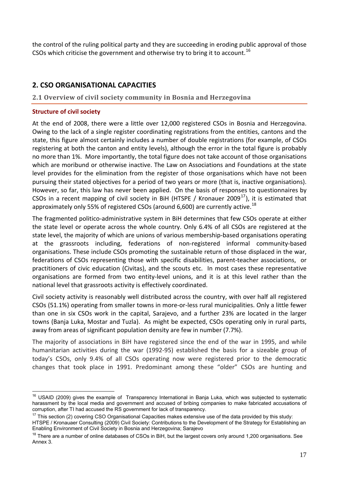<span id="page-16-0"></span>the control of the ruling political party and they are succeeding in eroding public approval of those CSOs which criticise the government and otherwise try to bring it to account.<sup>[16](#page-16-0)</sup>

## **2. CSO ORGANISATIONAL CAPACITIES**

## **2.1 Overview of civil society community in Bosnia and Herzegovina**

## **Structure of civil society**

 $\overline{a}$ 

At the end of 2008, there were a little over 12,000 registered CSOs in Bosnia and Herzegovina. Owing to the lack of a single register coordinating registrations from the entities, cantons and the state, this figure almost certainly includes a number of double registrations (for example, of CSOs registering at both the canton and entity levels), although the error in the total figure is probably no more than 1%. More importantly, the total figure does not take account of those organisations which are moribund or otherwise inactive. The Law on Associations and Foundations at the state level provides for the elimination from the register of those organisations which have not been pursuing their stated objectives for a period of two years or more (that is, inactive organisations). However, so far, this law has never been applied. On the basis of responses to questionnaires by CSOs in a recent mapping of civil society in BiH (HTSPE / Kronauer 2009 $^{17}$  $^{17}$  $^{17}$ ), it is estimated that approximately only 55% of registered CSOs (around 6,600) are currently active.<sup>[18](#page-16-0)</sup>

The fragmented politico-administrative system in BiH determines that few CSOs operate at either the state level or operate across the whole country. Only 6.4% of all CSOs are registered at the state level, the majority of which are unions of various membership-based organisations operating at the grassroots including, federations of non‐registered informal community‐based organisations. These include CSOs promoting the sustainable return of those displaced in the war, federations of CSOs representing those with specific disabilities, parent-teacher associations, or practitioners of civic education (Civitas), and the scouts etc. In most cases these representative organisations are formed from two entity-level unions, and it is at this level rather than the national level that grassroots activity is effectively coordinated.

Civil society activity is reasonably well distributed across the country, with over half all registered CSOs (51.1%) operating from smaller towns in more‐or‐less rural municipalities. Only a little fewer than one in six CSOs work in the capital, Sarajevo, and a further 23% are located in the larger towns (Banja Luka, Mostar and Tuzla). As might be expected, CSOs operating only in rural parts, away from areas of significant population density are few in number (7.7%).

The majority of associations in BiH have registered since the end of the war in 1995, and while humanitarian activities during the war (1992‐95) established the basis for a sizeable group of today's CSOs, only 9.4% of all CSOs operating now were registered prior to the democratic changes that took place in 1991. Predominant among these "older" CSOs are hunting and

<sup>&</sup>lt;sup>16</sup> USAID (2009) gives the example of Transparency International in Banja Luka, which was subjected to systematic harassment by the local media and government and accused of bribing companies to make fabricated accusations of corruption, after TI had accused the RS government for lack of transparency.

 $17$  This section (2) covering CSO Organisational Capacities makes extensive use of the data provided by this study:

HTSPE / Kronauaer Consulting (2009) Civil Society: Contributions to the Development of the Strategy for Establishing an Enabling Environment of Civil Society in Bosnia and Herzegovina; Sarajevo

<sup>&</sup>lt;sup>18</sup> There are a number of online databases of CSOs in BiH, but the largest covers only around 1,200 organisations. See Annex 3.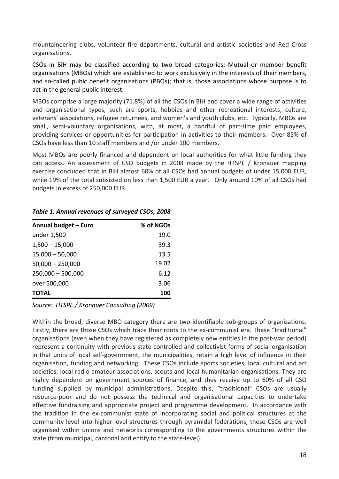mountaineering clubs, volunteer fire departments, cultural and artistic societies and Red Cross organisations.

CSOs in BiH may be classified according to two broad categories: Mutual or member benefit organisations (MBOs) which are established to work exclusively in the interests of their members, and so-called pubic benefit organisations (PBOs); that is, those associations whose purpose is to act in the general public interest.

MBOs comprise a large majority (71.8%) of all the CSOs in BiH and cover a wide range of activities and organisational types, such are sports, hobbies and other recreational interests, culture, veterans' associations, refugee returnees, and women's and youth clubs, etc. Typically, MBOs are small, semi-voluntary organisations, with, at most, a handful of part-time paid employees, providing services or opportunities for participation in activities to their members. Over 85% of CSOs have less than 10 staff members and /or under 100 members.

Most MBOs are poorly financed and dependent on local authorities for what little funding they can access. An assessment of CSO budgets in 2008 made by the HTSPE / Kronauer mapping exercise concluded that in BiH almost 60% of all CSOs had annual budgets of under 15,000 EUR, while 19% of the total subsisted on less than 1,500 EUR a year. Only around 10% of all CSOs had budgets in excess of 250,000 EUR.

| Annual budget - Euro | % of NGOs |
|----------------------|-----------|
| under 1,500          | 19.0      |
| $1,500 - 15,000$     | 39.3      |
| $15,000 - 50,000$    | 13.5      |
| $50,000 - 250,000$   | 19.02     |
| $250,000 - 500,000$  | 6.12      |
| over 500,000         | 3.06      |
| <b>TOTAL</b>         | 100       |

## *Table 1. Annual revenues of surveyed CSOs, 2008*

*Source: HTSPE / Kronauer Consulting (2009)* 

Within the broad, diverse MBO category there are two identifiable sub-groups of organisations. Firstly, there are those CSOs which trace their roots to the ex-communist era. These "traditional" organisations (even when they have registered as completely new entities in the post-war period) represent a continuity with previous state‐controlled and collectivist forms of social organisation in that units of local self‐government, the municipalities, retain a high level of influence in their organisation, funding and networking. These CSOs include sports societies, local cultural and art societies, local radio amateur associations, scouts and local humanitarian organisations. They are highly dependent on government sources of finance, and they receive up to 60% of all CSO funding supplied by municipal administrations. Despite this, "traditional" CSOs are usually resource‐poor and do not possess the technical and organisational capacities to undertake effective fundraising and appropriate project and programme development. In accordance with the tradition in the ex‐communist state of incorporating social and political structures at the community level into higher‐level structures through pyramidal federations, these CSOs are well organised within unions and networks corresponding to the governments structures within the state (from municipal, cantonal and entity to the state‐level).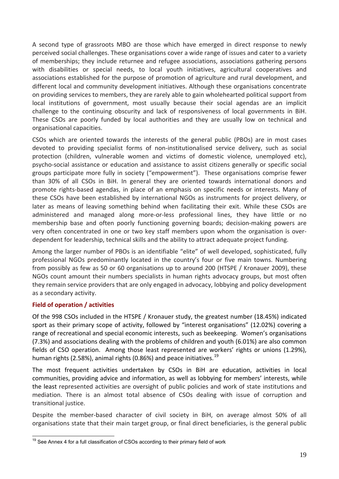<span id="page-18-0"></span>A second type of grassroots MBO are those which have emerged in direct response to newly perceived social challenges. These organisations cover a wide range of issues and cater to a variety of memberships; they include returnee and refugee associations, associations gathering persons with disabilities or special needs, to local youth initiatives, agricultural cooperatives and associations established for the purpose of promotion of agriculture and rural development, and different local and community development initiatives. Although these organisations concentrate on providing services to members, they are rarely able to gain wholehearted political support from local institutions of government, most usually because their social agendas are an implicit challenge to the continuing obscurity and lack of responsiveness of local governments in BiH. These CSOs are poorly funded by local authorities and they are usually low on technical and organisational capacities.

CSOs which are oriented towards the interests of the general public (PBOs) are in most cases devoted to providing specialist forms of non‐institutionalised service delivery, such as social protection (children, vulnerable women and victims of domestic violence, unemployed etc), psycho‐social assistance or education and assistance to assist citizens generally or specific social groups participate more fully in society ("empowerment"). These organisations comprise fewer than 30% of all CSOs in BiH. In general they are oriented towards international donors and promote rights‐based agendas, in place of an emphasis on specific needs or interests. Many of these CSOs have been established by international NGOs as instruments for project delivery, or later as means of leaving something behind when facilitating their exit. While these CSOs are administered and managed along more-or-less professional lines, they have little or no membership base and often poorly functioning governing boards; decision-making powers are very often concentrated in one or two key staff members upon whom the organisation is over‐ dependent for leadership, technical skills and the ability to attract adequate project funding.

Among the larger number of PBOs is an identifiable "elite" of well developed, sophisticated, fully professional NGOs predominantly located in the country's four or five main towns. Numbering from possibly as few as 50 or 60 organisations up to around 200 (HTSPE / Kronauer 2009), these NGOs count amount their numbers specialists in human rights advocacy groups, but most often they remain service providers that are only engaged in advocacy, lobbying and policy development as a secondary activity.

## **Field of operation / activities**

Of the 998 CSOs included in the HTSPE / Kronauer study, the greatest number (18.45%) indicated sport as their primary scope of activity, followed by "interest organisations" (12.02%) covering a range of recreational and special economic interests, such as beekeeping. Women's organisations (7.3%) and associations dealing with the problems of children and youth (6.01%) are also common fields of CSO operation. Among those least represented are workers' rights or unions (1.29%), human rights (2.58%), animal rights (0.86%) and peace initiatives.<sup>[19](#page-18-0)</sup>

The most frequent activities undertaken by CSOs in BiH are education, activities in local communities, providing advice and information, as well as lobbying for members' interests, while the least represented activities are oversight of public policies and work of state institutions and mediation. There is an almost total absence of CSOs dealing with issue of corruption and transitional justice.

Despite the member‐based character of civil society in BiH, on average almost 50% of all organisations state that their main target group, or final direct beneficiaries, is the general public

 $\overline{a}$ <sup>19</sup> See Annex 4 for a full classification of CSOs according to their primary field of work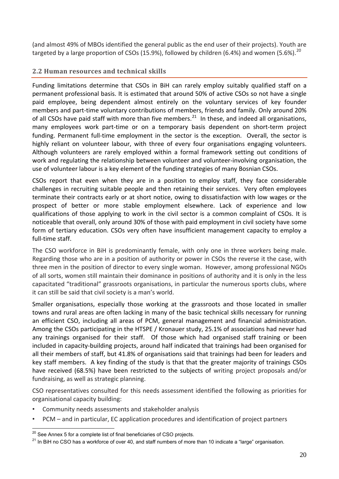<span id="page-19-0"></span>(and almost 49% of MBOs identified the general public as the end user of their projects). Youth are targeted by a large proportion of CSOs (15.9%), followed by children (6.4%) and women (5.6%).<sup>[20](#page-19-0)</sup>

## **2.2 Human resources and technical skills**

Funding limitations determine that CSOs in BiH can rarely employ suitably qualified staff on a permanent professional basis. It is estimated that around 50% of active CSOs so not have a single paid employee, being dependent almost entirely on the voluntary services of key founder members and part-time voluntary contributions of members, friends and family. Only around 20% of all CSOs have paid staff with more than five members.<sup>[21](#page-19-0)</sup> In these, and indeed all organisations, many employees work part-time or on a temporary basis dependent on short-term project funding. Permanent full-time employment in the sector is the exception. Overall, the sector is highly reliant on volunteer labour, with three of every four organisations engaging volunteers. Although volunteers are rarely employed within a formal framework setting out conditions of work and regulating the relationship between volunteer and volunteer‐involving organisation, the use of volunteer labour is a key element of the funding strategies of many Bosnian CSOs.

CSOs report that even when they are in a position to employ staff, they face considerable challenges in recruiting suitable people and then retaining their services. Very often employees terminate their contracts early or at short notice, owing to dissatisfaction with low wages or the prospect of better or more stable employment elsewhere. Lack of experience and low qualifications of those applying to work in the civil sector is a common complaint of CSOs. It is noticeable that overall, only around 30% of those with paid employment in civil society have some form of tertiary education. CSOs very often have insufficient management capacity to employ a full‐time staff.

The CSO workforce in BiH is predominantly female, with only one in three workers being male. Regarding those who are in a position of authority or power in CSOs the reverse it the case, with three men in the position of director to every single woman. However, among professional NGOs of all sorts, women still maintain their dominance in positions of authority and it is only in the less capacitated "traditional" grassroots organisations, in particular the numerous sports clubs, where it can still be said that civil society is a man's world.

Smaller organisations, especially those working at the grassroots and those located in smaller towns and rural areas are often lacking in many of the basic technical skills necessary for running an efficient CSO, including all areas of PCM, general management and financial administration. Among the CSOs participating in the HTSPE / Kronauer study, 25.1% of associations had never had any trainings organised for their staff. Of those which had organised staff training or been included in capacity‐building projects, around half indicated that trainings had been organised for all their members of staff, but 41.8% of organisations said that trainings had been for leaders and key staff members. A key finding of the study is that that the greater majority of trainings CSOs have received (68.5%) have been restricted to the subjects of writing project proposals and/or fundraising, as well as strategic planning.

CSO representatives consulted for this needs assessment identified the following as priorities for organisational capacity building:

- Community needs assessments and stakeholder analysis
- PCM and in particular, EC application procedures and identification of project partners

 $\overline{a}$  $^{20}$  See Annex 5 for a complete list of final beneficiaries of CSO projects.

 $21$  In BiH no CSO has a workforce of over 40, and staff numbers of more than 10 indicate a "large" organisation.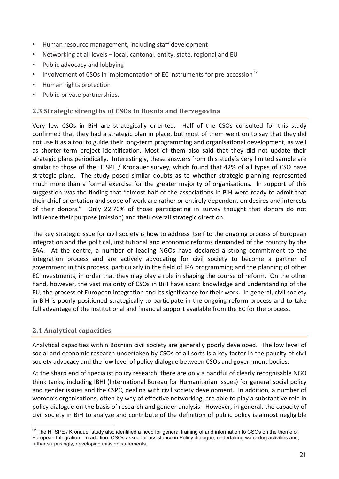- <span id="page-20-0"></span>• Human resource management, including staff development
- Networking at all levels local, cantonal, entity, state, regional and EU
- Public advocacy and lobbying
- Involvement of CSOs in implementation of EC instruments for pre-accession<sup>[22](#page-20-0)</sup>
- Human rights protection
- Public‐private partnerships.

## **2.3 Strategic strengths of CSOs in Bosnia and Herzegovina**

Very few CSOs in BiH are strategically oriented. Half of the CSOs consulted for this study confirmed that they had a strategic plan in place, but most of them went on to say that they did not use it as a tool to guide their long‐term programming and organisational development, as well as shorter-term project identification. Most of them also said that they did not update their strategic plans periodically. Interestingly, these answers from this study's very limited sample are similar to those of the HTSPE / Kronauer survey, which found that 42% of all types of CSO have strategic plans. The study posed similar doubts as to whether strategic planning represented much more than a formal exercise for the greater majority of organisations. In support of this suggestion was the finding that "almost half of the associations in BiH were ready to admit that their chief orientation and scope of work are rather or entirely dependent on desires and interests of their donors." Only 22.70% of those participating in survey thought that donors do not influence their purpose (mission) and their overall strategic direction.

The key strategic issue for civil society is how to address itself to the ongoing process of European integration and the political, institutional and economic reforms demanded of the country by the SAA. At the centre, a number of leading NGOs have declared a strong commitment to the integration process and are actively advocating for civil society to become a partner of government in this process, particularly in the field of IPA programming and the planning of other EC investments, in order that they may play a role in shaping the course of reform. On the other hand, however, the vast majority of CSOs in BiH have scant knowledge and understanding of the EU, the process of European integration and its significance for their work. In general, civil society in BiH is poorly positioned strategically to participate in the ongoing reform process and to take full advantage of the institutional and financial support available from the EC for the process.

## **2.4 Analytical capacities**

Analytical capacities within Bosnian civil society are generally poorly developed. The low level of social and economic research undertaken by CSOs of all sorts is a key factor in the paucity of civil society advocacy and the low level of policy dialogue between CSOs and government bodies.

At the sharp end of specialist policy research, there are only a handful of clearly recognisable NGO think tanks, including IBHI (International Bureau for Humanitarian Issues) for general social policy and gender issues and the CSPC, dealing with civil society development. In addition, a number of women's organisations, often by way of effective networking, are able to play a substantive role in policy dialogue on the basis of research and gender analysis. However, in general, the capacity of civil society in BiH to analyze and contribute of the definition of public policy is almost negligible

 $\overline{a}$  $^{22}$  The HTSPE / Kronauer study also identified a need for general training of and information to CSOs on the theme of European Integration. In addition, CSOs asked for assistance in Policy dialogue, undertaking watchdog activities and, rather surprisingly, developing mission statements.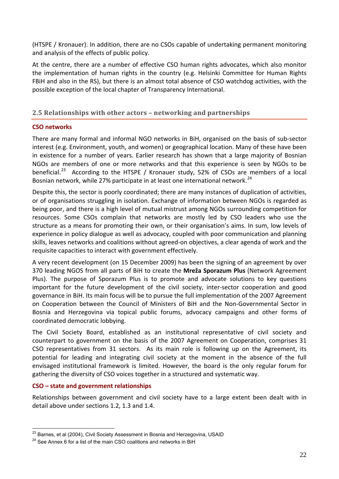<span id="page-21-0"></span>(HTSPE / Kronauer). In addition, there are no CSOs capable of undertaking permanent monitoring and analysis of the effects of public policy.

At the centre, there are a number of effective CSO human rights advocates, which also monitor the implementation of human rights in the country (e.g. Helsinki Committee for Human Rights FBiH and also in the RS), but there is an almost total absence of CSO watchdog activities, with the possible exception of the local chapter of Transparency International.

## **2.5 Relationships with other actors – networking and partnerships**

## **CSO networks**

There are many formal and informal NGO networks in BiH, organised on the basis of sub‐sector interest (e.g. Environment, youth, and women) or geographical location. Many of these have been in existence for a number of years. Earlier research has shown that a large majority of Bosnian NGOs are members of one or more networks and that this experience is seen by NGOs to be beneficial.<sup>[23](#page-21-0)</sup> According to the HTSPE / Kronauer study, 52% of CSOs are members of a local Bosnian network, while 27% participate in at least one international network.<sup>[24](#page-21-0)</sup>

Despite this, the sector is poorly coordinated; there are many instances of duplication of activities, or of organisations struggling in isolation. Exchange of information between NGOs is regarded as being poor, and there is a high level of mutual mistrust among NGOs surrounding competition for resources. Some CSOs complain that networks are mostly led by CSO leaders who use the structure as a means for promoting their own, or their organisation's aims. In sum, low levels of experience in policy dialogue as well as advocacy, coupled with poor communication and planning skills, leaves networks and coalitions without agreed‐on objectives, a clear agenda of work and the requisite capacities to interact with government effectively.

A very recent development (on 15 December 2009) has been the signing of an agreement by over 370 leading NGOS from all parts of BiH to create the **Mreža Sporazum Plus** (Network Agreement Plus). The purpose of Sporazum Plus is to promote and advocate solutions to key questions important for the future development of the civil society, inter-sector cooperation and good governance in BiH. Its main focus will be to pursue the full implementation of the 2007 Agreement on Cooperation between the Council of Ministers of BiH and the Non‐Governmental Sector in Bosnia and Herzegovina via topical public forums, advocacy campaigns and other forms of coordinated democratic lobbying.

The Civil Society Board, established as an institutional representative of civil society and counterpart to government on the basis of the 2007 Agreement on Cooperation, comprises 31 CSO representatives from 31 sectors. As its main role is following up on the Agreement, its potential for leading and integrating civil society at the moment in the absence of the full envisaged institutional framework is limited. However, the board is the only regular forum for gathering the diversity of CSO voices together in a structured and systematic way.

## **CSO – state and government relationships**

 $\overline{a}$ 

Relationships between government and civil society have to a large extent been dealt with in detail above under sections 1.2, 1.3 and 1.4.

 $^{23}$  Barnes, et al (2004), Civil Society Assessment in Bosnia and Herzegovina, USAID

<sup>&</sup>lt;sup>24</sup> See Annex 6 for a list of the main CSO coalitions and networks in BiH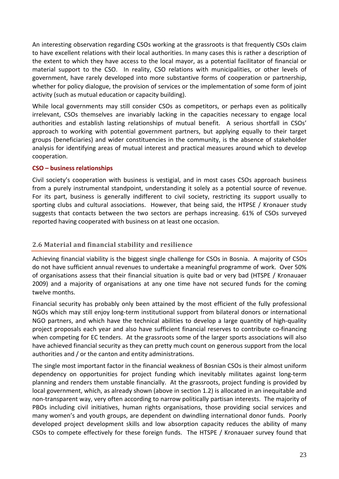<span id="page-22-0"></span>An interesting observation regarding CSOs working at the grassroots is that frequently CSOs claim to have excellent relations with their local authorities. In many cases this is rather a description of the extent to which they have access to the local mayor, as a potential facilitator of financial or material support to the CSO. In reality, CSO relations with municipalities, or other levels of government, have rarely developed into more substantive forms of cooperation or partnership, whether for policy dialogue, the provision of services or the implementation of some form of joint activity (such as mutual education or capacity building).

While local governments may still consider CSOs as competitors, or perhaps even as politically irrelevant, CSOs themselves are invariably lacking in the capacities necessary to engage local authorities and establish lasting relationships of mutual benefit. A serious shortfall in CSOs' approach to working with potential government partners, but applying equally to their target groups (beneficiaries) and wider constituencies in the community, is the absence of stakeholder analysis for identifying areas of mutual interest and practical measures around which to develop cooperation.

## **CSO – business relationships**

Civil society's cooperation with business is vestigial, and in most cases CSOs approach business from a purely instrumental standpoint, understanding it solely as a potential source of revenue. For its part, business is generally indifferent to civil society, restricting its support usually to sporting clubs and cultural associations. However, that being said, the HTPSE / Kronauer study suggests that contacts between the two sectors are perhaps increasing. 61% of CSOs surveyed reported having cooperated with business on at least one occasion.

## **2.6 Material and financial stability and resilience**

Achieving financial viability is the biggest single challenge for CSOs in Bosnia. A majority of CSOs do not have sufficient annual revenues to undertake a meaningful programme of work. Over 50% of organisations assess that their financial situation is quite bad or very bad (HTSPE / Kronauaer 2009) and a majority of organisations at any one time have not secured funds for the coming twelve months.

Financial security has probably only been attained by the most efficient of the fully professional NGOs which may still enjoy long‐term institutional support from bilateral donors or international NGO partners, and which have the technical abilities to develop a large quantity of high‐quality project proposals each year and also have sufficient financial reserves to contribute co‐financing when competing for EC tenders. At the grassroots some of the larger sports associations will also have achieved financial security as they can pretty much count on generous support from the local authorities and / or the canton and entity administrations.

The single most important factor in the financial weakness of Bosnian CSOs is their almost uniform dependency on opportunities for project funding which inevitably militates against long-term planning and renders them unstable financially. At the grassroots, project funding is provided by local government, which, as already shown (above in section 1.2) is allocated in an inequitable and non-transparent way, very often according to narrow politically partisan interests. The majority of PBOs including civil initiatives, human rights organisations, those providing social services and many women's and youth groups, are dependent on dwindling international donor funds. Poorly developed project development skills and low absorption capacity reduces the ability of many CSOs to compete effectively for these foreign funds. The HTSPE / Kronauaer survey found that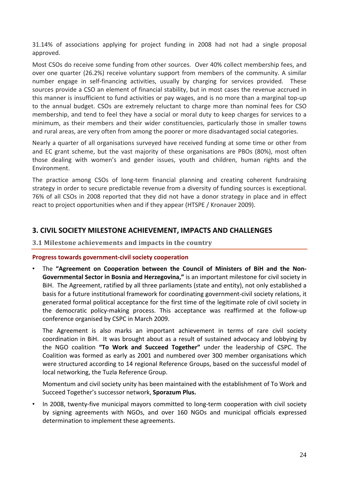<span id="page-23-0"></span>31.14% of associations applying for project funding in 2008 had not had a single proposal approved.

Most CSOs do receive some funding from other sources. Over 40% collect membership fees, and over one quarter (26.2%) receive voluntary support from members of the community. A similar number engage in self-financing activities, usually by charging for services provided. These sources provide a CSO an element of financial stability, but in most cases the revenue accrued in this manner is insufficient to fund activities or pay wages, and is no more than a marginal top‐up to the annual budget. CSOs are extremely reluctant to charge more than nominal fees for CSO membership, and tend to feel they have a social or moral duty to keep charges for services to a minimum, as their members and their wider constituencies, particularly those in smaller towns and rural areas, are very often from among the poorer or more disadvantaged social categories.

Nearly a quarter of all organisations surveyed have received funding at some time or other from and EC grant scheme, but the vast majority of these organisations are PBOs (80%), most often those dealing with women's and gender issues, youth and children, human rights and the Environment.

The practice among CSOs of long‐term financial planning and creating coherent fundraising strategy in order to secure predictable revenue from a diversity of funding sources is exceptional. 76% of all CSOs in 2008 reported that they did not have a donor strategy in place and in effect react to project opportunities when and if they appear (HTSPE / Kronauer 2009).

## **3. CIVIL SOCIETY MILESTONE ACHIEVEMENT, IMPACTS AND CHALLENGES**

#### **3.1 Milestone achievements and impacts in the country**

#### **Progress towards government‐civil society cooperation**

• The **"Agreement on Cooperation between the Council of Ministers of BiH and the Non‐ Governmental Sector in Bosnia and Herzegovina,"** is an important milestone for civil society in BiH. The Agreement, ratified by all three parliaments (state and entity), not only established a basis for a future institutional framework for coordinating government‐civil society relations, it generated formal political acceptance for the first time of the legitimate role of civil society in the democratic policy‐making process. This acceptance was reaffirmed at the follow‐up conference organised by CSPC in March 2009.

The Agreement is also marks an important achievement in terms of rare civil society coordination in BiH. It was brought about as a result of sustained advocacy and lobbying by the NGO coalition **"To Work and Succeed Together"** under the leadership of CSPC. The Coalition was formed as early as 2001 and numbered over 300 member organisations which were structured according to 14 regional Reference Groups, based on the successful model of local networking, the Tuzla Reference Group.

Momentum and civil society unity has been maintained with the establishment of To Work and Succeed Together's successor network, **Sporazum Plus.**

In 2008, twenty-five municipal mayors committed to long-term cooperation with civil society by signing agreements with NGOs, and over 160 NGOs and municipal officials expressed determination to implement these agreements.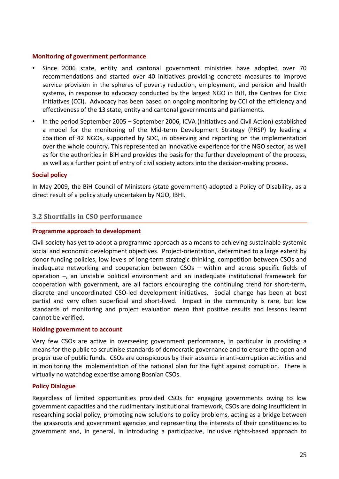### <span id="page-24-0"></span>**Monitoring of government performance**

- Since 2006 state, entity and cantonal government ministries have adopted over 70 recommendations and started over 40 initiatives providing concrete measures to improve service provision in the spheres of poverty reduction, employment, and pension and health systems, in response to advocacy conducted by the largest NGO in BiH, the Centres for Civic Initiatives (CCI). Advocacy has been based on ongoing monitoring by CCI of the efficiency and effectiveness of the 13 state, entity and cantonal governments and parliaments.
- In the period September 2005 September 2006, ICVA (Initiatives and Civil Action) established a model for the monitoring of the Mid-term Development Strategy (PRSP) by leading a coalition of 42 NGOs, supported by SDC, in observing and reporting on the implementation over the whole country. This represented an innovative experience for the NGO sector, as well as for the authorities in BiH and provides the basis for the further development of the process, as well as a further point of entry of civil society actors into the decision‐making process.

### **Social policy**

In May 2009, the BiH Council of Ministers (state government) adopted a Policy of Disability, as a direct result of a policy study undertaken by NGO, IBHI.

## **3.2 Shortfalls in CSO performance**

### **Programme approach to development**

Civil society has yet to adopt a programme approach as a means to achieving sustainable systemic social and economic development objectives. Project‐orientation, determined to a large extent by donor funding policies, low levels of long‐term strategic thinking, competition between CSOs and inadequate networking and cooperation between CSOs – within and across specific fields of operation –, an unstable political environment and an inadequate institutional framework for cooperation with government, are all factors encouraging the continuing trend for short‐term, discrete and uncoordinated CSO‐led development initiatives. Social change has been at best partial and very often superficial and short-lived. Impact in the community is rare, but low standards of monitoring and project evaluation mean that positive results and lessons learnt cannot be verified.

#### **Holding government to account**

Very few CSOs are active in overseeing government performance, in particular in providing a means for the public to scrutinise standards of democratic governance and to ensure the open and proper use of public funds. CSOs are conspicuous by their absence in anti‐corruption activities and in monitoring the implementation of the national plan for the fight against corruption. There is virtually no watchdog expertise among Bosnian CSOs.

#### **Policy Dialogue**

Regardless of limited opportunities provided CSOs for engaging governments owing to low government capacities and the rudimentary institutional framework, CSOs are doing insufficient in researching social policy, promoting new solutions to policy problems, acting as a bridge between the grassroots and government agencies and representing the interests of their constituencies to government and, in general, in introducing a participative, inclusive rights‐based approach to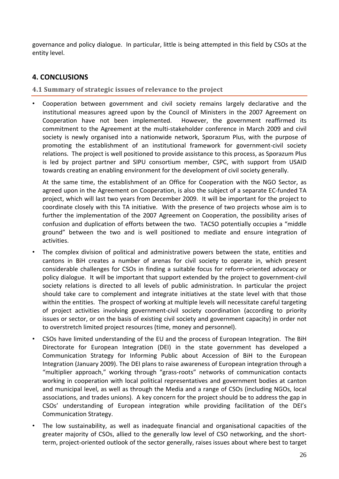<span id="page-25-0"></span>governance and policy dialogue. In particular, little is being attempted in this field by CSOs at the entity level.

## **4. CONCLUSIONS**

**4.1 Summary of strategic issues of relevance to the project**

• Cooperation between government and civil society remains largely declarative and the institutional measures agreed upon by the Council of Ministers in the 2007 Agreement on Cooperation have not been implemented. However, the government reaffirmed its commitment to the Agreement at the multi‐stakeholder conference in March 2009 and civil society is newly organised into a nationwide network, Sporazum Plus, with the purpose of promoting the establishment of an institutional framework for government‐civil society relations. The project is well positioned to provide assistance to this process, as Sporazum Plus is led by project partner and SIPU consortium member, CSPC, with support from USAID towards creating an enabling environment for the development of civil society generally.

At the same time, the establishment of an Office for Cooperation with the NGO Sector, as agreed upon in the Agreement on Cooperation, is also the subject of a separate EC‐funded TA project, which will last two years from December 2009. It will be important for the project to coordinate closely with this TA initiative. With the presence of two projects whose aim is to further the implementation of the 2007 Agreement on Cooperation, the possibility arises of confusion and duplication of efforts between the two. TACSO potentially occupies a "middle ground" between the two and is well positioned to mediate and ensure integration of activities.

- The complex division of political and administrative powers between the state, entities and cantons in BiH creates a number of arenas for civil society to operate in, which present considerable challenges for CSOs in finding a suitable focus for reform‐oriented advocacy or policy dialogue. It will be important that support extended by the project to government‐civil society relations is directed to all levels of public administration. In particular the project should take care to complement and integrate initiatives at the state level with that those within the entities. The prospect of working at multiple levels will necessitate careful targeting of project activities involving government‐civil society coordination (according to priority issues or sector, or on the basis of existing civil society and government capacity) in order not to overstretch limited project resources (time, money and personnel).
- CSOs have limited understanding of the EU and the process of European Integration. The BiH Directorate for European Integration (DEI) in the state government has developed a Communication Strategy for Informing Public about Accession of BiH to the European Integration (January 2009). The DEI plans to raise awareness of European integration through a "multiplier approach," working through "grass‐roots" networks of communication contacts working in cooperation with local political representatives and government bodies at canton and municipal level, as well as through the Media and a range of CSOs (including NGOs, local associations, and trades unions). A key concern for the project should be to address the gap in CSOs' understanding of European integration while providing facilitation of the DEI's Communication Strategy.
- The low sustainability, as well as inadequate financial and organisational capacities of the greater majority of CSOs, allied to the generally low level of CSO networking, and the short‐ term, project‐oriented outlook of the sector generally, raises issues about where best to target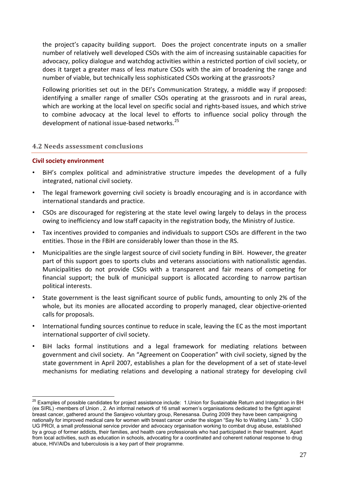<span id="page-26-0"></span>the project's capacity building support. Does the project concentrate inputs on a smaller number of relatively well developed CSOs with the aim of increasing sustainable capacities for advocacy, policy dialogue and watchdog activities within a restricted portion of civil society, or does it target a greater mass of less mature CSOs with the aim of broadening the range and number of viable, but technically less sophisticated CSOs working at the grassroots?

Following priorities set out in the DEI's Communication Strategy, a middle way if proposed: identifying a smaller range of smaller CSOs operating at the grassroots and in rural areas, which are working at the local level on specific social and rights-based issues, and which strive to combine advocacy at the local level to efforts to influence social policy through the development of national issue-based networks.<sup>[25](#page-26-0)</sup>

### **4.2 Needs assessment conclusions**

#### **Civil society environment**

- BiH's complex political and administrative structure impedes the development of a fully integrated, national civil society.
- The legal framework governing civil society is broadly encouraging and is in accordance with international standards and practice.
- CSOs are discouraged for registering at the state level owing largely to delays in the process owing to inefficiency and low staff capacity in the registration body, the Ministry of Justice.
- Tax incentives provided to companies and individuals to support CSOs are different in the two entities. Those in the FBiH are considerably lower than those in the RS.
- Municipalities are the single largest source of civil society funding in BiH. However, the greater part of this support goes to sports clubs and veterans associations with nationalistic agendas. Municipalities do not provide CSOs with a transparent and fair means of competing for financial support; the bulk of municipal support is allocated according to narrow partisan political interests.
- State government is the least significant source of public funds, amounting to only 2% of the whole, but its monies are allocated according to properly managed, clear objective-oriented calls for proposals.
- International funding sources continue to reduce in scale, leaving the EC as the most important international supporter of civil society.
- BiH lacks formal institutions and a legal framework for mediating relations between government and civil society. An "Agreement on Cooperation" with civil society, signed by the state government in April 2007, establishes a plan for the development of a set of state‐level mechanisms for mediating relations and developing a national strategy for developing civil

 $\overline{a}$  $^{25}$  Examples of possible candidates for project assistance include: 1.Union for Sustainable Return and Integration in BH (ex SIRL) -members of Union , 2. An informal network of 16 small women's organisations dedicated to the fight against breast cancer, gathered around the Sarajevo voluntary group, Renesansa. During 2009 they have been campaigning nationally for improved medical care for women with breast cancer under the slogan "Say No to Waiting Lists." 3. CSO UG PROI, a small professional service provider and advocacy organisation working to combat drug abuse, established by a group of former addicts, their families, and health care professionals who had participated in their treatment. Apart from local activities, such as education in schools, advocating for a coordinated and coherent national response to drug abuce, HIV/AIDs and tuberculosis is a key part of their programme.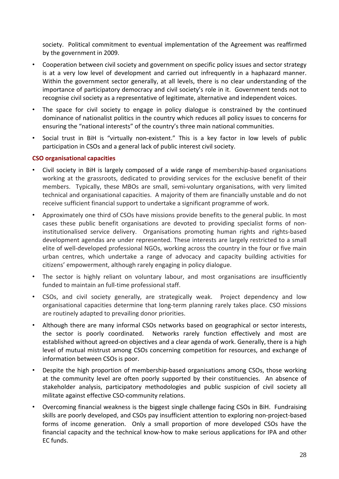<span id="page-27-0"></span>society. Political commitment to eventual implementation of the Agreement was reaffirmed by the government in 2009.

- Cooperation between civil society and government on specific policy issues and sector strategy is at a very low level of development and carried out infrequently in a haphazard manner. Within the government sector generally, at all levels, there is no clear understanding of the importance of participatory democracy and civil society's role in it. Government tends not to recognise civil society as a representative of legitimate, alternative and independent voices.
- The space for civil society to engage in policy dialogue is constrained by the continued dominance of nationalist politics in the country which reduces all policy issues to concerns for ensuring the "national interests" of the country's three main national communities.
- Social trust in BiH is "virtually non-existent." This is a key factor in low levels of public participation in CSOs and a general lack of public interest civil society.

## **CSO organisational capacities**

- Civil society in BiH is largely composed of a wide range of membership‐based organisations working at the grassroots, dedicated to providing services for the exclusive benefit of their members. Typically, these MBOs are small, semi-voluntary organisations, with very limited technical and organisational capacities. A majority of them are financially unstable and do not receive sufficient financial support to undertake a significant programme of work.
- Approximately one third of CSOs have missions provide benefits to the general public. In most cases these public benefit organisations are devoted to providing specialist forms of non‐ institutionalised service delivery. Organisations promoting human rights and rights-based development agendas are under represented. These interests are largely restricted to a small elite of well-developed professional NGOs, working across the country in the four or five main urban centres, which undertake a range of advocacy and capacity building activities for citizens' empowerment, although rarely engaging in policy dialogue.
- The sector is highly reliant on voluntary labour, and most organisations are insufficiently funded to maintain an full-time professional staff.
- CSOs, and civil society generally, are strategically weak. Project dependency and low organisational capacities determine that long‐term planning rarely takes place. CSO missions are routinely adapted to prevailing donor priorities.
- Although there are many informal CSOs networks based on geographical or sector interests, the sector is poorly coordinated. Networks rarely function effectively and most are established without agreed-on objectives and a clear agenda of work. Generally, there is a high level of mutual mistrust among CSOs concerning competition for resources, and exchange of information between CSOs is poor.
- Despite the high proportion of membership-based organisations among CSOs, those working at the community level are often poorly supported by their constituencies. An absence of stakeholder analysis, participatory methodologies and public suspicion of civil society all militate against effective CSO‐community relations.
- Overcoming financial weakness is the biggest single challenge facing CSOs in BiH. Fundraising skills are poorly developed, and CSOs pay insufficient attention to exploring non‐project‐based forms of income generation. Only a small proportion of more developed CSOs have the financial capacity and the technical know‐how to make serious applications for IPA and other EC funds.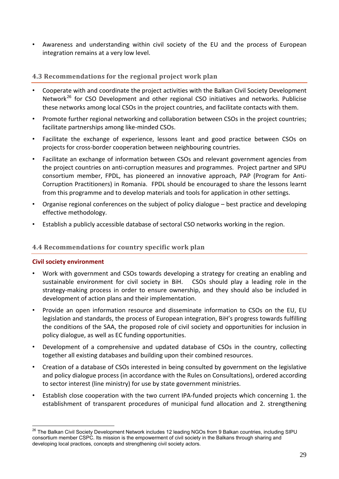<span id="page-28-0"></span>• Awareness and understanding within civil society of the EU and the process of European integration remains at a very low level.

## **4.3 Recommendations for the regional project work plan**

- Cooperate with and coordinate the project activities with the Balkan Civil Society Development Network<sup>[26](#page-28-0)</sup> for CSO Development and other regional CSO initiatives and networks. Publicise these networks among local CSOs in the project countries, and facilitate contacts with them.
- Promote further regional networking and collaboration between CSOs in the project countries; facilitate partnerships among like‐minded CSOs.
- Facilitate the exchange of experience, lessons leant and good practice between CSOs on projects for cross‐border cooperation between neighbouring countries.
- Facilitate an exchange of information between CSOs and relevant government agencies from the project countries on anti‐corruption measures and programmes. Project partner and SIPU consortium member, FPDL, has pioneered an innovative approach, PAP (Program for Anti‐ Corruption Practitioners) in Romania. FPDL should be encouraged to share the lessons learnt from this programme and to develop materials and tools for application in other settings.
- Organise regional conferences on the subject of policy dialogue best practice and developing effective methodology.
- Establish a publicly accessible database of sectoral CSO networks working in the region.

## **4.4 Recommendations for country specific work plan**

#### **Civil society environment**

- Work with government and CSOs towards developing a strategy for creating an enabling and sustainable environment for civil society in BiH. CSOs should play a leading role in the strategy-making process in order to ensure ownership, and they should also be included in development of action plans and their implementation.
- Provide an open information resource and disseminate information to CSOs on the EU, EU legislation and standards, the process of European integration, BiH's progress towards fulfilling the conditions of the SAA, the proposed role of civil society and opportunities for inclusion in policy dialogue, as well as EC funding opportunities.
- Development of a comprehensive and updated database of CSOs in the country, collecting together all existing databases and building upon their combined resources.
- Creation of a database of CSOs interested in being consulted by government on the legislative and policy dialogue process (in accordance with the Rules on Consultations), ordered according to sector interest (line ministry) for use by state government ministries.
- Establish close cooperation with the two current IPA‐funded projects which concerning 1. the establishment of transparent procedures of municipal fund allocation and 2. strengthening

 $\overline{a}$  $^{26}$  The Balkan Civil Society Development Network includes 12 leading NGOs from 9 Balkan countries, including SIPU consortium member CSPC. Its mission is the empowerment of civil society in the Balkans through sharing and developing local practices, concepts and strengthening civil society actors.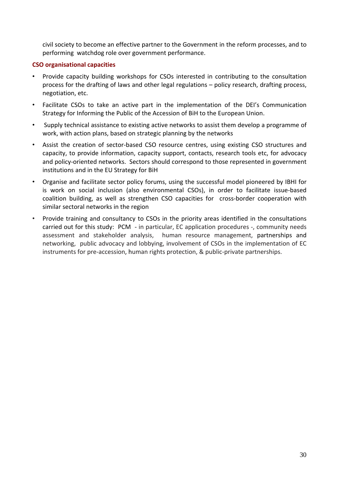<span id="page-29-0"></span>civil society to become an effective partner to the Government in the reform processes, and to performing watchdog role over government performance.

## **CSO organisational capacities**

- Provide capacity building workshops for CSOs interested in contributing to the consultation process for the drafting of laws and other legal regulations – policy research, drafting process, negotiation, etc.
- Facilitate CSOs to take an active part in the implementation of the DEI's Communication Strategy for Informing the Public of the Accession of BiH to the European Union.
- Supply technical assistance to existing active networks to assist them develop a programme of work, with action plans, based on strategic planning by the networks
- Assist the creation of sector-based CSO resource centres, using existing CSO structures and capacity, to provide information, capacity support, contacts, research tools etc, for advocacy and policy-oriented networks. Sectors should correspond to those represented in government institutions and in the EU Strategy for BiH
- Organise and facilitate sector policy forums, using the successful model pioneered by IBHI for is work on social inclusion (also environmental CSOs), in order to facilitate issue‐based coalition building, as well as strengthen CSO capacities for cross-border cooperation with similar sectoral networks in the region
- Provide training and consultancy to CSOs in the priority areas identified in the consultations carried out for this study: PCM - in particular, EC application procedures -, community needs assessment and stakeholder analysis, human resource management, partnerships and networking, public advocacy and lobbying, involvement of CSOs in the implementation of EC instruments for pre-accession, human rights protection, & public-private partnerships.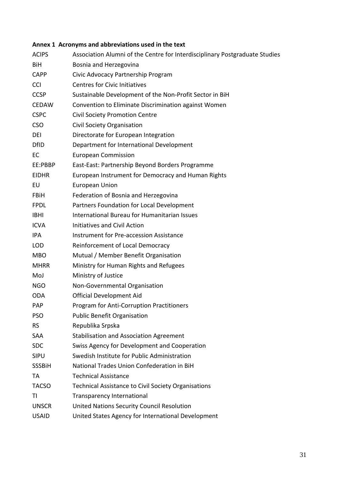## <span id="page-30-0"></span>**Annex 1 Acronyms and abbreviations used in the text**

| <b>ACIPS</b>  | Association Alumni of the Centre for Interdisciplinary Postgraduate Studies |
|---------------|-----------------------------------------------------------------------------|
| BiH           | Bosnia and Herzegovina                                                      |
| <b>CAPP</b>   | Civic Advocacy Partnership Program                                          |
| <b>CCI</b>    | <b>Centres for Civic Initiatives</b>                                        |
| <b>CCSP</b>   | Sustainable Development of the Non-Profit Sector in BiH                     |
| <b>CEDAW</b>  | Convention to Eliminate Discrimination against Women                        |
| <b>CSPC</b>   | <b>Civil Society Promotion Centre</b>                                       |
| <b>CSO</b>    | Civil Society Organisation                                                  |
| DEI           | Directorate for European Integration                                        |
| <b>DfID</b>   | Department for International Development                                    |
| EC            | <b>European Commission</b>                                                  |
| EE:PBBP       | East-East: Partnership Beyond Borders Programme                             |
| <b>EIDHR</b>  | European Instrument for Democracy and Human Rights                          |
| EU            | <b>European Union</b>                                                       |
| <b>FBiH</b>   | Federation of Bosnia and Herzegovina                                        |
| <b>FPDL</b>   | Partners Foundation for Local Development                                   |
| <b>IBHI</b>   | International Bureau for Humanitarian Issues                                |
| <b>ICVA</b>   | <b>Initiatives and Civil Action</b>                                         |
| IPA           | <b>Instrument for Pre-accession Assistance</b>                              |
| <b>LOD</b>    | Reinforcement of Local Democracy                                            |
| <b>MBO</b>    | Mutual / Member Benefit Organisation                                        |
| <b>MHRR</b>   | Ministry for Human Rights and Refugees                                      |
| MoJ           | Ministry of Justice                                                         |
| <b>NGO</b>    | Non-Governmental Organisation                                               |
| <b>ODA</b>    | <b>Official Development Aid</b>                                             |
| <b>PAP</b>    | Program for Anti-Corruption Practitioners                                   |
| <b>PSO</b>    | <b>Public Benefit Organisation</b>                                          |
| <b>RS</b>     | Republika Srpska                                                            |
| SAA           | <b>Stabilisation and Association Agreement</b>                              |
| <b>SDC</b>    | Swiss Agency for Development and Cooperation                                |
| <b>SIPU</b>   | Swedish Institute for Public Administration                                 |
| <b>SSSBiH</b> | National Trades Union Confederation in BiH                                  |
| TA            | <b>Technical Assistance</b>                                                 |
| <b>TACSO</b>  | Technical Assistance to Civil Society Organisations                         |
| ΤI            | <b>Transparency International</b>                                           |
| <b>UNSCR</b>  | United Nations Security Council Resolution                                  |
| <b>USAID</b>  | United States Agency for International Development                          |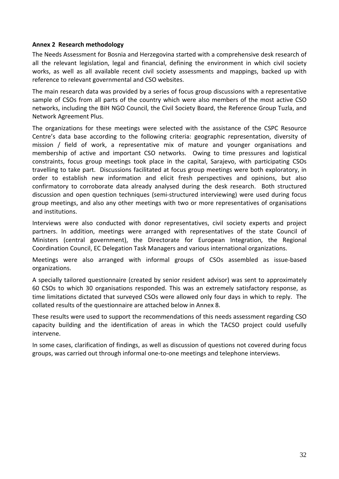#### <span id="page-31-0"></span>**Annex 2 Research methodology**

The Needs Assessment for Bosnia and Herzegovina started with a comprehensive desk research of all the relevant legislation, legal and financial, defining the environment in which civil society works, as well as all available recent civil society assessments and mappings, backed up with reference to relevant governmental and CSO websites.

The main research data was provided by a series of focus group discussions with a representative sample of CSOs from all parts of the country which were also members of the most active CSO networks, including the BiH NGO Council, the Civil Society Board, the Reference Group Tuzla, and Network Agreement Plus.

The organizations for these meetings were selected with the assistance of the CSPC Resource Centre's data base according to the following criteria: geographic representation, diversity of mission / field of work, a representative mix of mature and younger organisations and membership of active and important CSO networks. Owing to time pressures and logistical constraints, focus group meetings took place in the capital, Sarajevo, with participating CSOs travelling to take part. Discussions facilitated at focus group meetings were both exploratory, in order to establish new information and elicit fresh perspectives and opinions, but also confirmatory to corroborate data already analysed during the desk research. Both structured discussion and open question techniques (semi‐structured interviewing) were used during focus group meetings, and also any other meetings with two or more representatives of organisations and institutions.

Interviews were also conducted with donor representatives, civil society experts and project partners. In addition, meetings were arranged with representatives of the state Council of Ministers (central government), the Directorate for European Integration, the Regional Coordination Council, EC Delegation Task Managers and various international organizations.

Meetings were also arranged with informal groups of CSOs assembled as issue‐based organizations.

A specially tailored questionnaire (created by senior resident advisor) was sent to approximately 60 CSOs to which 30 organisations responded. This was an extremely satisfactory response, as time limitations dictated that surveyed CSOs were allowed only four days in which to reply. The collated results of the questionnaire are attached below in Annex 8.

These results were used to support the recommendations of this needs assessment regarding CSO capacity building and the identification of areas in which the TACSO project could usefully intervene.

In some cases, clarification of findings, as well as discussion of questions not covered during focus groups, was carried out through informal one‐to‐one meetings and telephone interviews.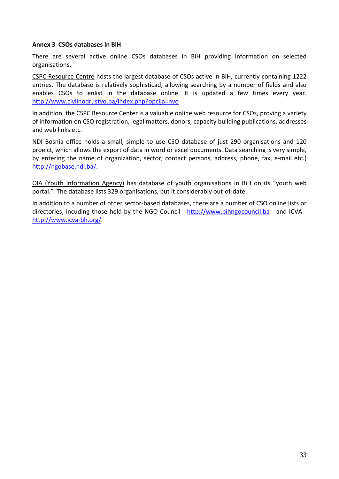#### <span id="page-32-0"></span>**Annex 3 CSOs databases in BiH**

There are several active online CSOs databases in BiH providing information on selected organisations.

CSPC Resource Centre hosts the largest database of CSOs active in BiH, currently containing 1222 entries. The database is relatively sophisticad, allowing searching by a number of fields and also enables CSOs to enlist in the database online. It is updated a few times every year. <http://www.civilnodrustvo.ba/index.php?opcija=nvo>

In addition, the CSPC Resource Center is a valuable online web resource for CSOs, proving a variety of information on CSO registration, legal matters, donors, capacity building publications, addresses and web links etc.

NDI Bosnia office holds a small, simple to use CSO database of just 290 organisations and 120 proejct, which allows the export of data in word or excel documents. Data searching is very simple, by entering the name of organization, sector, contact persons, address, phone, fax, e‐mail etc.) [http://ngobase.ndi.ba/.](http://ngobase.ndi.ba/)

OIA (Youth Information Agency) has database of youth organisations in BiH on its "youth web portal." The database lists 329 organisations, but it considerably out‐of‐date.

In addition to a number of other sector‐based databases, there are a number of CSO online lists or directories, incuding those held by the NGO Council - [http://www.bihngocouncil.ba](http://www.bihngocouncil.ba/) - and ICVA [http://www.icva](http://www.icva-bh.org/)‐bh.org/.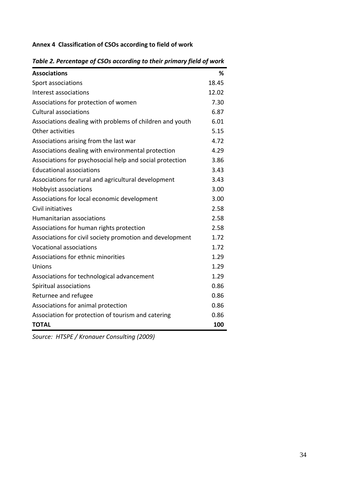## <span id="page-33-0"></span>**Annex 4 Classification of CSOs according to field of work**

| <b>Associations</b>                                      | %     |
|----------------------------------------------------------|-------|
| Sport associations                                       | 18.45 |
| Interest associations                                    | 12.02 |
| Associations for protection of women                     | 7.30  |
| <b>Cultural associations</b>                             | 6.87  |
| Associations dealing with problems of children and youth | 6.01  |
| Other activities                                         | 5.15  |
| Associations arising from the last war                   | 4.72  |
| Associations dealing with environmental protection       | 4.29  |
| Associations for psychosocial help and social protection | 3.86  |
| <b>Educational associations</b>                          | 3.43  |
| Associations for rural and agricultural development      | 3.43  |
| Hobbyist associations                                    | 3.00  |
| Associations for local economic development              | 3.00  |
| Civil initiatives                                        | 2.58  |
| Humanitarian associations                                | 2.58  |
| Associations for human rights protection                 | 2.58  |
| Associations for civil society promotion and development | 1.72  |
| <b>Vocational associations</b>                           | 1.72  |
| Associations for ethnic minorities                       | 1.29  |
| Unions                                                   | 1.29  |
| Associations for technological advancement               | 1.29  |
| Spiritual associations                                   | 0.86  |
| Returnee and refugee                                     | 0.86  |
| Associations for animal protection                       | 0.86  |
| Association for protection of tourism and catering       | 0.86  |
| <b>TOTAL</b>                                             | 100   |

*Table 2. Percentage of CSOs according to their primary field of work*

*Source: HTSPE / Kronauer Consulting (2009)*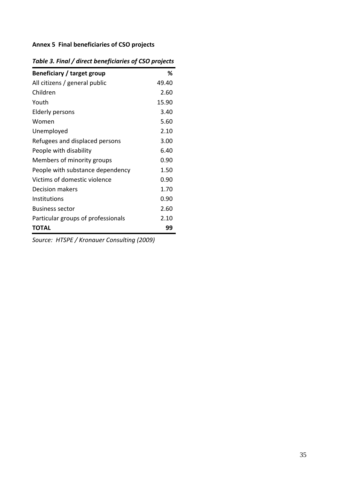## <span id="page-34-0"></span>**Annex 5 Final beneficiaries of CSO projects**

| Beneficiary / target group         | ℅     |
|------------------------------------|-------|
| All citizens / general public      | 49.40 |
| Children                           | 2.60  |
| Youth                              | 15.90 |
| Elderly persons                    | 3.40  |
| Women                              | 5.60  |
| Unemployed                         | 2.10  |
| Refugees and displaced persons     | 3.00  |
| People with disability             | 6.40  |
| Members of minority groups         | 0.90  |
| People with substance dependency   | 1.50  |
| Victims of domestic violence       | 0.90  |
| <b>Decision makers</b>             | 1.70  |
| <b>Institutions</b>                | 0.90  |
| <b>Business sector</b>             | 2.60  |
| Particular groups of professionals | 2.10  |
| <b>TOTAL</b>                       | 99    |
|                                    |       |

*Table 3. Final / direct beneficiaries of CSO projects*

*Source: HTSPE / Kronauer Consulting (2009)*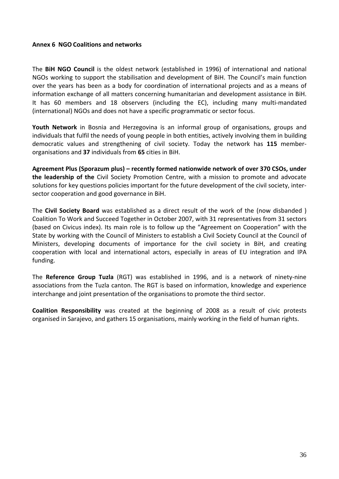#### <span id="page-35-0"></span>**Annex 6 NGO Coalitions and networks**

The **BiH NGO Council** is the oldest network (established in 1996) of international and national NGOs working to support the stabilisation and development of BiH. The Council's main function over the years has been as a body for coordination of international projects and as a means of information exchange of all matters concerning humanitarian and development assistance in BiH. It has 60 members and 18 observers (including the EC), including many multi-mandated (international) NGOs and does not have a specific programmatic or sector focus.

**Youth Network** in Bosnia and Herzegovina is an informal group of organisations, groups and individuals that fulfil the needs of young people in both entities, actively involving them in building democratic values and strengthening of civil society. Today the network has **115** member‐ organisations and **37** individuals from **65** cities in BiH.

**Agreement Plus (Sporazum plus) – recently formed nationwide network of over 370 CSOs, under the leadership of the** Civil Society Promotion Centre, with a mission to promote and advocate solutions for key questions policies important for the future development of the civil society, inter‐ sector cooperation and good governance in BiH.

The **Civil Society Board** was established as a direct result of the work of the (now disbanded ) Coalition To Work and Succeed Together in October 2007, with 31 representatives from 31 sectors (based on Civicus index). Its main role is to follow up the "Agreement on Cooperation" with the State by working with the Council of Ministers to establish a Civil Society Council at the Council of Ministers, developing documents of importance for the civil society in BiH, and creating cooperation with local and international actors, especially in areas of EU integration and IPA funding.

The **Reference Group Tuzla** (RGT) was established in 1996, and is a network of ninety‐nine associations from the Tuzla canton. The RGT is based on information, knowledge and experience interchange and joint presentation of the organisations to promote the third sector.

**Coalition Responsibility** was created at the beginning of 2008 as a result of civic protests organised in Sarajevo, and gathers 15 organisations, mainly working in the field of human rights.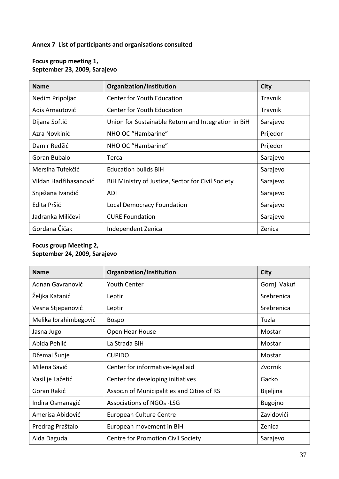## <span id="page-36-0"></span>**Annex 7 List of participants and organisations consulted**

| <b>Name</b>           | Organization/Institution                            | <b>City</b> |
|-----------------------|-----------------------------------------------------|-------------|
| Nedim Pripoljac       | <b>Center for Youth Education</b>                   | Travnik     |
| Adis Arnautović       | <b>Center for Youth Education</b>                   | Travnik     |
| Dijana Softić         | Union for Sustainable Return and Integration in BiH | Sarajevo    |
| Azra Novkinić         | NHO OC "Hambarine"                                  | Prijedor    |
| Damir Redžić          | NHO OC "Hambarine"                                  | Prijedor    |
| Goran Bubalo          | Terca                                               | Sarajevo    |
| Mersiha Tufekčić      | <b>Education builds BiH</b>                         | Sarajevo    |
| Vildan Hadžihasanović | BiH Ministry of Justice, Sector for Civil Society   | Sarajevo    |
| Snježana Ivandić      | ADI                                                 | Sarajevo    |
| Edita Pršić           | <b>Local Democracy Foundation</b>                   | Sarajevo    |
| Jadranka Miličevi     | <b>CURE Foundation</b>                              | Sarajevo    |
| Gordana Čičak         | Independent Zenica                                  | Zenica      |

## **Focus group meeting 1, September 23, 2009, Sarajevo**

## **Focus group Meeting 2, September 24, 2009, Sarajevo**

| <b>Name</b>           | Organization/Institution                   | <b>City</b>    |
|-----------------------|--------------------------------------------|----------------|
| Adnan Gavranović      | <b>Youth Center</b>                        | Gornji Vakuf   |
| Željka Katanić        | Leptir                                     | Srebrenica     |
| Vesna Stjepanović     | Leptir                                     | Srebrenica     |
| Melika Ibrahimbegović | <b>Bospo</b>                               | Tuzla          |
| Jasna Jugo            | Open Hear House                            | Mostar         |
| Abida Pehlić          | La Strada BiH                              | Mostar         |
| Džemal Šunje          | <b>CUPIDO</b>                              | Mostar         |
| Milena Savić          | Center for informative-legal aid           | Zvornik        |
| Vasilije Lažetić      | Center for developing initiatives          | Gacko          |
| Goran Rakić           | Assoc.n of Municipalities and Cities of RS | Bijeljina      |
| Indira Osmanagić      | <b>Associations of NGOs -LSG</b>           | <b>Bugojno</b> |
| Amerisa Abidović      | <b>European Culture Centre</b>             | Zavidovići     |
| Predrag Praštalo      | European movement in BiH                   | Zenica         |
| Aida Daguda           | Centre for Promotion Civil Society         | Sarajevo       |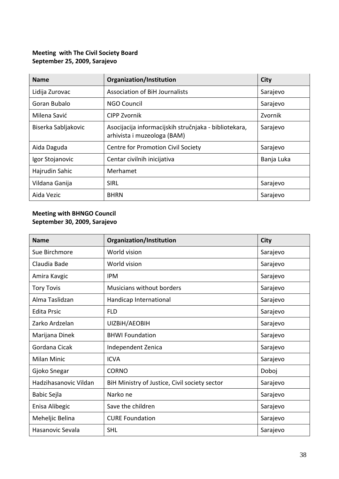## **Meeting with The Civil Society Board September 25, 2009, Sarajevo**

| <b>Name</b>         | Organization/Institution                                                             | <b>City</b> |
|---------------------|--------------------------------------------------------------------------------------|-------------|
| Lidija Zurovac      | <b>Association of BiH Journalists</b>                                                | Sarajevo    |
| Goran Bubalo        | NGO Council                                                                          | Sarajevo    |
| Milena Savić        | <b>CIPP Zvornik</b>                                                                  | Zvornik     |
| Biserka Sabljakovic | Asocijacija informacijskih stručnjaka - bibliotekara,<br>arhivista i muzeologa (BAM) | Sarajevo    |
| Aida Daguda         | Centre for Promotion Civil Society                                                   | Sarajevo    |
| Igor Stojanovic     | Centar civilnih inicijativa                                                          | Banja Luka  |
| Hajrudin Sahic      | Merhamet                                                                             |             |
| Vildana Ganija      | <b>SIRL</b>                                                                          | Sarajevo    |
| Aida Vezic          | <b>BHRN</b>                                                                          | Sarajevo    |

## **Meeting with BHNGO Council September 30, 2009, Sarajevo**

| <b>Name</b>           | Organization/Institution                      | <b>City</b> |
|-----------------------|-----------------------------------------------|-------------|
| Sue Birchmore         | World vision                                  | Sarajevo    |
| Claudia Bade          | World vision                                  | Sarajevo    |
| Amira Kavgic          | <b>IPM</b>                                    | Sarajevo    |
| <b>Tory Tovis</b>     | Musicians without borders                     | Sarajevo    |
| Alma Taslidzan        | Handicap International                        | Sarajevo    |
| <b>Edita Prsic</b>    | <b>FLD</b>                                    | Sarajevo    |
| Zarko Ardzelan        | UIZBIH/AEOBIH                                 | Sarajevo    |
| Marijana Dinek        | <b>BHWI Foundation</b>                        | Sarajevo    |
| Gordana Cicak         | Independent Zenica                            | Sarajevo    |
| Milan Minic           | <b>ICVA</b>                                   | Sarajevo    |
| Gjoko Snegar          | <b>CORNO</b>                                  | Doboj       |
| Hadzihasanovic Vildan | BiH Ministry of Justice, Civil society sector | Sarajevo    |
| Babic Sejla           | Narko ne                                      | Sarajevo    |
| Enisa Alibegic        | Save the children                             | Sarajevo    |
| Meheljic Belina       | <b>CURE Foundation</b>                        | Sarajevo    |
| Hasanovic Sevala      | <b>SHL</b>                                    | Sarajevo    |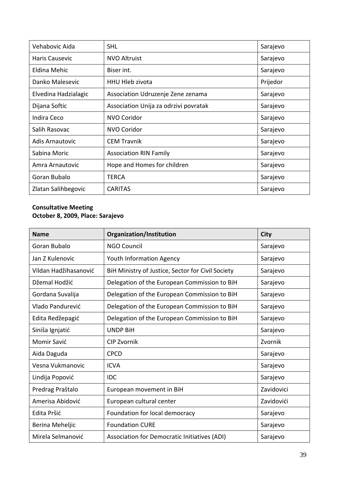| Vehabovic Aida         | <b>SHL</b>                            | Sarajevo |
|------------------------|---------------------------------------|----------|
| Haris Causevic         | <b>NVO Altruist</b>                   | Sarajevo |
| Eldina Mehic           | Biser int.                            | Sarajevo |
| Danko Malesevic        | <b>HHU Hleb zivota</b>                | Prijedor |
| Elvedina Hadzialagic   | Association Udruzenje Zene zenama     | Sarajevo |
| Dijana Softic          | Association Unija za odrzivi povratak | Sarajevo |
| Indira Ceco            | NVO Coridor                           | Sarajevo |
| Salih Rasovac          | <b>NVO Coridor</b>                    | Sarajevo |
| <b>Adis Arnautovic</b> | <b>CEM Travnik</b>                    | Sarajevo |
| Sabina Moric           | <b>Association RIN Family</b>         | Sarajevo |
| Amra Arnautovic        | Hope and Homes for children           | Sarajevo |
| Goran Bubalo           | <b>TERCA</b>                          | Sarajevo |
| Zlatan Salihbegovic    | <b>CARITAS</b>                        | Sarajevo |

## **Consultative Meeting October 8, 2009, Place: Sarajevo**

| <b>Name</b>           | Organization/Institution                          | <b>City</b> |
|-----------------------|---------------------------------------------------|-------------|
| Goran Bubalo          | <b>NGO Council</b>                                | Sarajevo    |
| Jan Z Kulenovic       | <b>Youth Information Agency</b>                   | Sarajevo    |
| Vildan Hadžihasanović | BiH Ministry of Justice, Sector for Civil Society | Sarajevo    |
| Džemal Hodžić         | Delegation of the European Commission to BiH      | Sarajevo    |
| Gordana Suvalija      | Delegation of the European Commission to BiH      | Sarajevo    |
| Vlado Pandurević      | Delegation of the European Commission to BiH      | Sarajevo    |
| Edita Redžepagić      | Delegation of the European Commission to BiH      | Sarajevo    |
| Siniša Ignjatić       | <b>UNDP BiH</b>                                   | Sarajevo    |
| Momir Savić           | <b>CIP Zvornik</b>                                | Zvornik     |
| Aida Daguda           | <b>CPCD</b>                                       | Sarajevo    |
| Vesna Vukmanovic      | <b>ICVA</b>                                       | Sarajevo    |
| Lindija Popović       | <b>IDC</b>                                        | Sarajevo    |
| Predrag Praštalo      | European movement in BiH                          | Zavidovici  |
| Amerisa Abidović      | European cultural center                          | Zavidovići  |
| Edita Pršić           | Foundation for local democracy                    | Sarajevo    |
| Berina Meheljic       | <b>Foundation CURE</b>                            | Sarajevo    |
| Mirela Selmanović     | Association for Democratic Initiatives (ADI)      | Sarajevo    |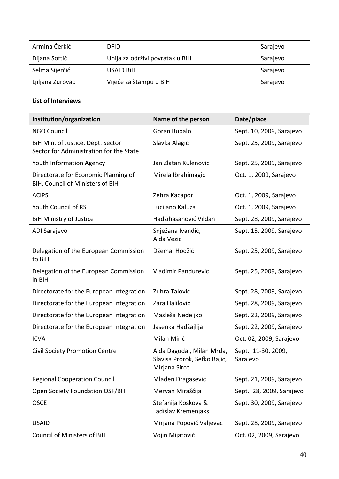| Armina Čerkić    | <b>DFID</b>                     | Sarajevo |
|------------------|---------------------------------|----------|
| Dijana Softić    | Unija za održivi povratak u BiH | Sarajevo |
| Selma Sijerčić   | <b>USAID BIH</b>                | Sarajevo |
| Ljiljana Zurovac | Vijeće za štampu u BiH          | Sarajevo |

## **List of Interviews**

| Institution/organization                                                     | Name of the person                                                        | Date/place                      |
|------------------------------------------------------------------------------|---------------------------------------------------------------------------|---------------------------------|
| <b>NGO Council</b>                                                           | Goran Bubalo                                                              | Sept. 10, 2009, Sarajevo        |
| BiH Min. of Justice, Dept. Sector<br>Sector for Administration for the State | Slavka Alagic                                                             | Sept. 25, 2009, Sarajevo        |
| <b>Youth Information Agency</b>                                              | Jan Zlatan Kulenovic                                                      | Sept. 25, 2009, Sarajevo        |
| Directorate for Economic Planning of<br>BiH, Council of Ministers of BiH     | Mirela Ibrahimagic                                                        | Oct. 1, 2009, Sarajevo          |
| <b>ACIPS</b>                                                                 | Zehra Kacapor                                                             | Oct. 1, 2009, Sarajevo          |
| Youth Council of RS                                                          | Lucijano Kaluza                                                           | Oct. 1, 2009, Sarajevo          |
| <b>BiH Ministry of Justice</b>                                               | Hadžihasanović Vildan                                                     | Sept. 28, 2009, Sarajevo        |
| ADI Sarajevo                                                                 | Snježana Ivandić,<br>Aida Vezic                                           | Sept. 15, 2009, Sarajevo        |
| Delegation of the European Commission<br>to BiH                              | Džemal Hodžić                                                             | Sept. 25, 2009, Sarajevo        |
| Delegation of the European Commission<br>in BiH                              | <b>Vladimir Pandurevic</b>                                                | Sept. 25, 2009, Sarajevo        |
| Directorate for the European Integration                                     | Zuhra Talović                                                             | Sept. 28, 2009, Sarajevo        |
| Directorate for the European Integration                                     | Zara Halilovic                                                            | Sept. 28, 2009, Sarajevo        |
| Directorate for the European Integration                                     | Masleša Nedeljko                                                          | Sept. 22, 2009, Sarajevo        |
| Directorate for the European Integration                                     | Jasenka Hadžajlija                                                        | Sept. 22, 2009, Sarajevo        |
| <b>ICVA</b>                                                                  | Milan Mirić                                                               | Oct. 02, 2009, Sarajevo         |
| <b>Civil Society Promotion Centre</b>                                        | Aida Daguda, Milan Mrđa,<br>Slavisa Prorok, Sefko Bajic,<br>Mirjana Sirco | Sept., 11-30, 2009,<br>Sarajevo |
| <b>Regional Cooperation Council</b>                                          | Mladen Dragasevic                                                         | Sept. 21, 2009, Sarajevo        |
| Open Society Foundation OSF/BH                                               | Mervan Miraščija                                                          | Sept., 28, 2009, Sarajevo       |
| <b>OSCE</b>                                                                  | Stefanija Koskova &<br>Ladislav Kremenjaks                                | Sept. 30, 2009, Sarajevo        |
| <b>USAID</b>                                                                 | Mirjana Popović Valjevac                                                  | Sept. 28, 2009, Sarajevo        |
| Council of Ministers of BiH                                                  | Vojin Mijatović                                                           | Oct. 02, 2009, Sarajevo         |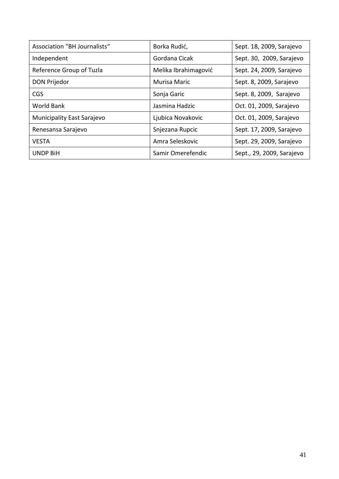| <b>Association "BH Journalists"</b> | Borka Rudić,         | Sept. 18, 2009, Sarajevo  |
|-------------------------------------|----------------------|---------------------------|
| Independent                         | Gordana Cicak        | Sept. 30, 2009, Sarajevo  |
| Reference Group of Tuzla            | Melika Ibrahimagović | Sept. 24, 2009, Sarajevo  |
| <b>DON Prijedor</b>                 | Murisa Maric         | Sept. 8, 2009, Sarajevo   |
| CGS                                 | Sonja Garic          | Sept. 8, 2009, Sarajevo   |
| <b>World Bank</b>                   | Jasmina Hadzic       | Oct. 01, 2009, Sarajevo   |
| Municipality East Sarajevo          | Ljubica Novakovic    | Oct. 01, 2009, Sarajevo   |
| Renesansa Sarajevo                  | Snjezana Rupcic      | Sept. 17, 2009, Sarajevo  |
| <b>VESTA</b>                        | Amra Seleskovic      | Sept. 29, 2009, Sarajevo  |
| <b>UNDP BiH</b>                     | Samir Omerefendic    | Sept., 29, 2009, Sarajevo |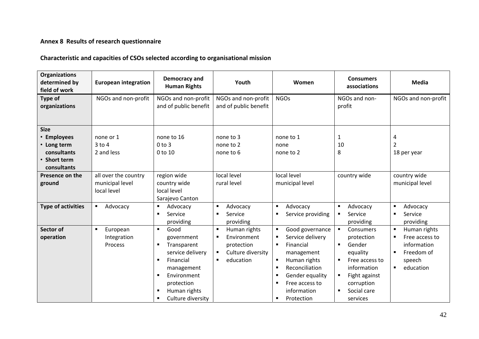#### **Annex 8 Results of research questionnaire**

#### **Characteristic and capacities of CSOs selected according to organisational mission**

<span id="page-41-0"></span>

| <b>Organizations</b><br>determined by<br>field of work                                  | <b>European integration</b>                            | Democracy and<br><b>Human Rights</b>                                                                                                                                      | Youth                                                                                                                                  | Women                                                                                                                                                                                                                                                                       | <b>Consumers</b><br>associations                                                                                                                                             | <b>Media</b>                                                                                                                |
|-----------------------------------------------------------------------------------------|--------------------------------------------------------|---------------------------------------------------------------------------------------------------------------------------------------------------------------------------|----------------------------------------------------------------------------------------------------------------------------------------|-----------------------------------------------------------------------------------------------------------------------------------------------------------------------------------------------------------------------------------------------------------------------------|------------------------------------------------------------------------------------------------------------------------------------------------------------------------------|-----------------------------------------------------------------------------------------------------------------------------|
| Type of<br>organizations                                                                | NGOs and non-profit                                    | NGOs and non-profit<br>and of public benefit                                                                                                                              | NGOs and non-profit<br>and of public benefit                                                                                           | <b>NGOs</b>                                                                                                                                                                                                                                                                 | NGOs and non-<br>profit                                                                                                                                                      | NGOs and non-profit                                                                                                         |
| <b>Size</b><br>• Employees<br>• Long term<br>consultants<br>• Short term<br>consultants | none or 1<br>$3$ to $4$<br>2 and less                  | none to 16<br>$0$ to $3$<br>0 to 10                                                                                                                                       | none to 3<br>none to 2<br>none to 6                                                                                                    | none to 1<br>none<br>none to 2                                                                                                                                                                                                                                              | $\mathbf{1}$<br>10<br>8                                                                                                                                                      | 4<br>$\overline{2}$<br>18 per year                                                                                          |
| Presence on the<br>ground                                                               | all over the country<br>municipal level<br>local level | region wide<br>country wide<br>local level<br>Sarajevo Canton                                                                                                             | local level<br>rural level                                                                                                             | local level<br>municipal level                                                                                                                                                                                                                                              | country wide                                                                                                                                                                 | country wide<br>municipal level                                                                                             |
| <b>Type of activities</b>                                                               | Advocacy<br>٠                                          | Advocacy<br>٠<br>Service<br>$\blacksquare$<br>providing                                                                                                                   | Advocacy<br>$\blacksquare$<br>Service<br>٠<br>providing                                                                                | Advocacy<br>$\blacksquare$<br>Service providing<br>п                                                                                                                                                                                                                        | Advocacy<br>٠<br>Service<br>٠<br>providing                                                                                                                                   | Advocacy<br>٠<br>Service<br>$\blacksquare$<br>providing                                                                     |
| Sector of<br>operation                                                                  | European<br>٠<br>Integration<br>Process                | Good<br>$\blacksquare$<br>government<br>Transparent<br>п<br>service delivery<br>Financial<br>management<br>Environment<br>protection<br>Human rights<br>Culture diversity | Human rights<br>$\blacksquare$<br>Environment<br>٠<br>protection<br>Culture diversity<br>$\blacksquare$<br>education<br>$\blacksquare$ | Good governance<br>$\blacksquare$<br>Service delivery<br>п<br>Financial<br>$\blacksquare$<br>management<br>Human rights<br>٠<br>Reconciliation<br>$\blacksquare$<br>Gender equality<br>$\blacksquare$<br>Free access to<br>$\blacksquare$<br>information<br>Protection<br>٠ | Consumers<br>$\blacksquare$<br>protection<br>Gender<br>$\blacksquare$<br>equality<br>Free access to<br>information<br>Fight against<br>corruption<br>Social care<br>services | Human rights<br>$\blacksquare$<br>Free access to<br>information<br>Freedom of<br>٠<br>speech<br>education<br>$\blacksquare$ |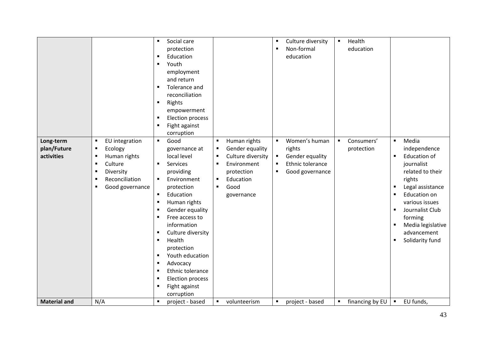| Long-term                 | EU integration<br>$\blacksquare$                                                                                                                                                                 | Social care<br>$\blacksquare$<br>protection<br>Education<br>٠<br>Youth<br>٠<br>employment<br>and return<br>Tolerance and<br>٠<br>reconciliation<br>Rights<br>٠<br>empowerment<br><b>Election process</b><br>٠<br>Fight against<br>٠<br>corruption<br>Good<br>$\blacksquare$                                                                                                                                  | Human rights<br>$\blacksquare$                                                                                                                                                    | Culture diversity<br>$\blacksquare$<br>Non-formal<br>$\blacksquare$<br>education<br>Women's human<br>$\blacksquare$    | Health<br>$\blacksquare$<br>education<br>Consumers'<br>$\blacksquare$ | Media<br>$\blacksquare$                                                                                                                                                                                                                                                 |
|---------------------------|--------------------------------------------------------------------------------------------------------------------------------------------------------------------------------------------------|--------------------------------------------------------------------------------------------------------------------------------------------------------------------------------------------------------------------------------------------------------------------------------------------------------------------------------------------------------------------------------------------------------------|-----------------------------------------------------------------------------------------------------------------------------------------------------------------------------------|------------------------------------------------------------------------------------------------------------------------|-----------------------------------------------------------------------|-------------------------------------------------------------------------------------------------------------------------------------------------------------------------------------------------------------------------------------------------------------------------|
| plan/Future<br>activities | Ecology<br>$\blacksquare$<br>Human rights<br>$\blacksquare$<br>Culture<br>$\blacksquare$<br>Diversity<br>$\blacksquare$<br>Reconciliation<br>$\blacksquare$<br>Good governance<br>$\blacksquare$ | governance at<br>local level<br>Services<br>$\blacksquare$<br>providing<br>Environment<br>$\blacksquare$<br>protection<br>Education<br>$\blacksquare$<br>Human rights<br>٠<br>Gender equality<br>Free access to<br>٠<br>information<br>Culture diversity<br>٠<br>Health<br>٠<br>protection<br>Youth education<br>٠<br>Advocacy<br>Ethnic tolerance<br><b>Election process</b><br>Fight against<br>corruption | Gender equality<br>п<br>Culture diversity<br>$\blacksquare$<br>Environment<br>$\blacksquare$<br>protection<br>Education<br>$\blacksquare$<br>Good<br>$\blacksquare$<br>governance | rights<br>Gender equality<br>$\blacksquare$<br>Ethnic tolerance<br>$\blacksquare$<br>Good governance<br>$\blacksquare$ | protection                                                            | independence<br><b>Education of</b><br>$\blacksquare$<br>journalist<br>related to their<br>rights<br>Legal assistance<br>٠<br><b>Education on</b><br>٠<br>various issues<br>Journalist Club<br>forming<br>Media legislative<br>٠<br>advancement<br>Solidarity fund<br>п |
| <b>Material and</b>       | N/A                                                                                                                                                                                              | project - based<br>٠                                                                                                                                                                                                                                                                                                                                                                                         | volunteerism<br>$\blacksquare$                                                                                                                                                    | project - based<br>$\blacksquare$                                                                                      | financing by EU<br>$\blacksquare$                                     | EU funds,<br>$\blacksquare$                                                                                                                                                                                                                                             |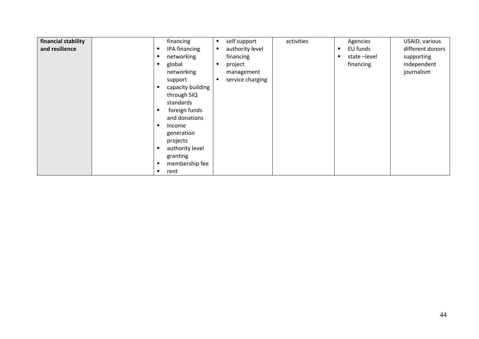| financial stability<br>financing<br>and resilience<br>IPA financing<br>networking<br>global<br>networking<br>support<br>capacity building<br>through SIQ<br>standards<br>foreign funds<br>and donations<br>Income<br>generation<br>projects<br>authority level<br>granting<br>membership fee<br>rent | activities<br>self support<br>п<br>authority level<br>$\blacksquare$<br>financing<br>project<br>п<br>management<br>service charging<br>п | USAID, various<br>Agencies<br>EU funds<br>different donors<br>л<br>state-level<br>supporting<br>п<br>independent<br>financing<br>journalism |  |
|------------------------------------------------------------------------------------------------------------------------------------------------------------------------------------------------------------------------------------------------------------------------------------------------------|------------------------------------------------------------------------------------------------------------------------------------------|---------------------------------------------------------------------------------------------------------------------------------------------|--|
|------------------------------------------------------------------------------------------------------------------------------------------------------------------------------------------------------------------------------------------------------------------------------------------------------|------------------------------------------------------------------------------------------------------------------------------------------|---------------------------------------------------------------------------------------------------------------------------------------------|--|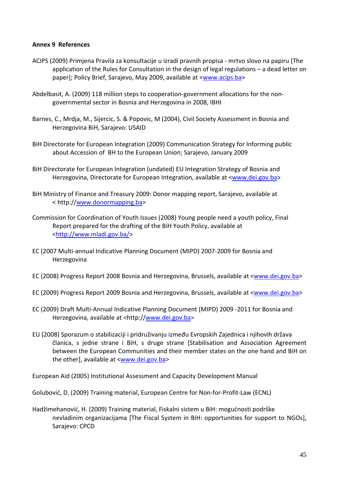#### <span id="page-44-0"></span>**Annex 9 References**

- ACIPS (2009) Primjena Pravila za konsultacije u izradi pravnih propisa ‐ mrtvo slovo na papiru [The application of the Rules for Consultation in the design of legal regulations – a dead letter on paper]; Policy Brief, Sarajevo, May 2009, available at [<www.acips.ba>](http://www.acips.ba/)
- Abdelbasit, A. (2009) 118 million steps to cooperation‐government allocations for the non‐ governmental sector in Bosnia and Herzegovina in 2008, IBHI
- Barnes, C., Mrdja, M., Sijercic, S. & Popovic, M (2004), Civil Society Assessment in Bosnia and Herzegovina BiH, Sarajevo: USAID
- BiH Directorate for European Integration (2009) Communication Strategy for Informing public about Accession of BH to the European Union; Sarajevo, January 2009
- BiH Directorate for European Integration (undated) EU Integration Strategy of Bosnia and Herzegovina, Directorate for European Integration, available at <[www.dei.gov.ba>](http://www.dei.gov.ba/)
- BiH Ministry of Finance and Treasury 2009: Donor mapping report, Sarajevo, available at < http:/[/www.donormapping.ba](http://www.donormapping.ba/)>
- Commission for Coordination of Youth Issues (2008) Young people need a youth policy, Final Report prepared for the drafting of the BiH Youth Policy, available at [<http://www.mladi.gov.ba/](http://www.mladi.gov.ba/)>
- EC (2007 Multi‐annual Indicative Planning Document (MIPD) 2007‐2009 for Bosnia and Herzegovina
- EC (2008) Progress Report 2008 Bosnia and Herzegovina, Brussels, available at <[www.dei.gov.ba](http://www.dei.gov.ba/)>
- EC (2009) Progress Report 2009 Bosnia and Herzegovina, Brussels, available at <[www.dei.gov.ba](http://www.dei.gov.ba/)>
- EC (2009) Draft Multi‐Annual Indicative Planning Document (MIPD) 2009 ‐2011 for Bosnia and Herzegovina, available at <http://[www.dei.gov.ba](http://www.dei.gov.ba/)*>*
- EU (2008) Sporazum o stabilizaciji i pridruživanju između Evropskih Zajednica i njihovih država članica, s jedne strane i BiH, s druge strane [Stabilisation and Association Agreement between the European Communities and their member states on the one hand and BiH on the other], available at <[www.dei.gov.ba](http://www.dei.gov.ba/)*>*

European Aid (2005) Institutional Assessment and Capacity Development Manual

Golubović, D. (2009) Training material, European Centre for Non‐for‐Profit‐Law (ECNL)

Hadžimehanović, H. (2009) Training material, Fiskalni sistem u BiH: mogućnosti podrške nevladinim organizacijama [The Fiscal System in BiH: opportunities for support to NGOs], Sarajevo: CPCD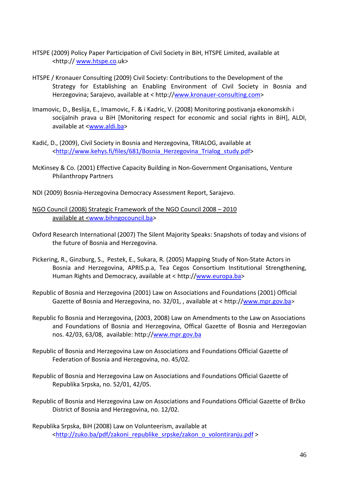- HTSPE (2009) Policy Paper Participation of Civil Society in BiH, HTSPE Limited, available at <http:// [www.htspe.co](http://www.htspe.co/).uk>
- HTSPE / Kronauer Consulting (2009) Civil Society: Contributions to the Development of the Strategy for Establishing an Enabling Environment of Civil Society in Bosnia and Herzegovina; Sarajevo, available at < http://www.kronauer‐[consulting.com](http://www.kronauer-consulting.com/)>
- Imamovic, D., Beslija, E., Imamovic, F. & i Kadric, V. (2008) Monitoring postivanja ekonomskih i socijalnih prava u BiH [Monitoring respect for economic and social rights in BiH], ALDI, available at [<www.aldi.ba>](http://www.aldi.ba/)
- Kadić, D., (2009), Civil Society in Bosnia and Herzegovina, TRIALOG, available at [<http://www.kehys.fi/files/681/Bosnia\\_Herzegovina\\_Trialog\\_study.pdf](http://www.kehys.fi/files/681/Bosnia_Herzegovina_Trialog_study.pdf)>
- McKinsey & Co. (2001) Effective Capacity Building in Non‐Government Organisations, Venture Philanthropy Partners
- NDI (2009) Bosnia‐Herzegovina Democracy Assessment Report, Sarajevo.
- NGO Council (2008) Strategic Framework of the NGO Council 2008 2010 available at [<www.bihngocouncil.ba](http://www.bihngocouncil.ba/)*>*
- Oxford Research International (2007) The Silent Majority Speaks: Snapshots of today and visions of the future of Bosnia and Herzegovina.
- Pickering, R., Ginzburg, S., Pestek, E., Sukara, R. (2005) Mapping Study of Non‐State Actors in Bosnia and Herzegovina, APRIS.p.a, Tea Cegos Consortium Institutional Strengthening, Human Rights and Democracy, available at < http://[www.europa.ba>](http://www.europa.ba/)
- Republic of Bosnia and Herzegovina (2001) Law on Associations and Foundations (2001) Official Gazette of Bosnia and Herzegovina, no. 32/01, , available at < http:/[/www.mpr.gov.ba](http://www.mpr.gov.ba/)*>*
- Republic fo Bosnia and Herzegovina, (2003, 2008) Law on Amendments to the Law on Associations and Foundations of Bosnia and Herzegovina, Offical Gazette of Bosnia and Herzegovian nos. 42/03, 63/08, available: http:/[/www.mpr.gov.ba](http://www.mpr.gov.ba/)
- Republic of Bosnia and Herzegovina Law on Associations and Foundations Official Gazette of Federation of Bosnia and Herzegovina, no. 45/02.
- Republic of Bosnia and Herzegovina Law on Associations and Foundations Official Gazette of Republika Srpska, no. 52/01, 42/05.
- Republic of Bosnia and Herzegovina Law on Associations and Foundations Official Gazette of Brčko District of Bosnia and Herzegovina, no. 12/02.
- Republika Srpska, BiH (2008) Law on Volunteerism, available at [<http://zuko.ba/pdf/zakoni\\_republike\\_srpske/zakon\\_o\\_volontiranju.pdf](http://zuko.ba/pdf/zakoni_republike_srpske/zakon_o_volontiranju.pdf) >